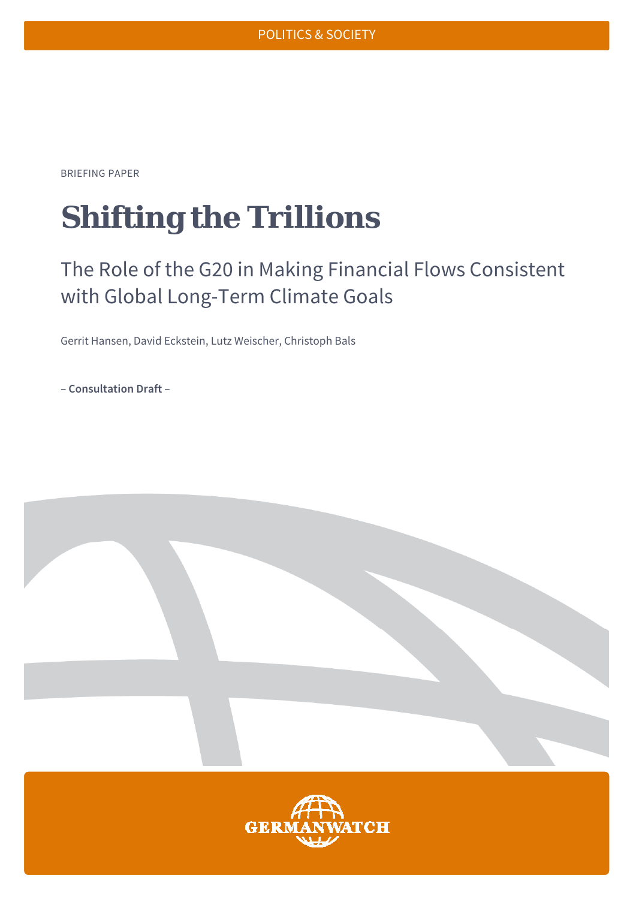BRIEFING PAPER

# **Shifting the Trillions**

## The Role of the G20 in Making Financial Flows Consistent with Global Long-Term Climate Goals

Gerrit Hansen, David Eckstein, Lutz Weischer, Christoph Bals

**– Consultation Draft –** 

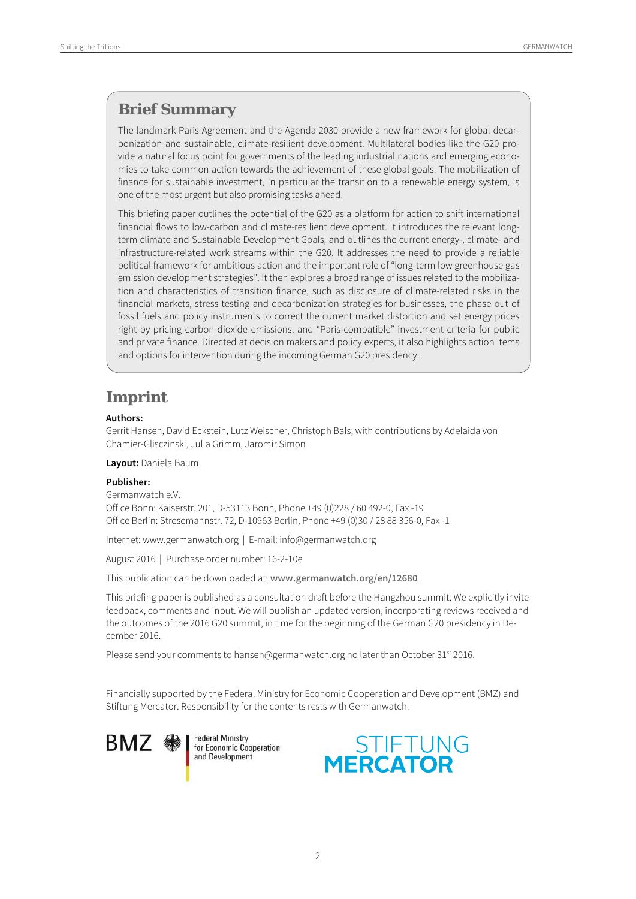#### **Brief Summary**

The landmark Paris Agreement and the Agenda 2030 provide a new framework for global decarbonization and sustainable, climate-resilient development. Multilateral bodies like the G20 provide a natural focus point for governments of the leading industrial nations and emerging economies to take common action towards the achievement of these global goals. The mobilization of finance for sustainable investment, in particular the transition to a renewable energy system, is one of the most urgent but also promising tasks ahead.

This briefing paper outlines the potential of the G20 as a platform for action to shift international financial flows to low-carbon and climate-resilient development. It introduces the relevant longterm climate and Sustainable Development Goals, and outlines the current energy-, climate- and infrastructure-related work streams within the G20. It addresses the need to provide a reliable political framework for ambitious action and the important role of "long-term low greenhouse gas emission development strategies". It then explores a broad range of issues related to the mobilization and characteristics of transition finance, such as disclosure of climate-related risks in the financial markets, stress testing and decarbonization strategies for businesses, the phase out of fossil fuels and policy instruments to correct the current market distortion and set energy prices right by pricing carbon dioxide emissions, and "Paris-compatible" investment criteria for public and private finance. Directed at decision makers and policy experts, it also highlights action items and options for intervention during the incoming German G20 presidency.

#### **Imprint**

#### **Authors:**

Gerrit Hansen, David Eckstein, Lutz Weischer, Christoph Bals; with contributions by Adelaida von Chamier-Glisczinski, Julia Grimm, Jaromir Simon

**Layout:** Daniela Baum

#### **Publisher:**

Germanwatch e.V. Office Bonn: Kaiserstr. 201, D-53113 Bonn, Phone +49 (0)228 / 60 492-0, Fax -19 Office Berlin: Stresemannstr. 72, D-10963 Berlin, Phone +49 (0)30 / 28 88 356-0, Fax -1

Internet: www.germanwatch.org | E-mail: info@germanwatch.org

August 2016 | Purchase order number: 16-2-10e

This publication can be downloaded at: **www.germanwatch.org/en/12680**

This briefing paper is published as a consultation draft before the Hangzhou summit. We explicitly invite feedback, comments and input. We will publish an updated version, incorporating reviews received and the outcomes of the 2016 G20 summit, in time for the beginning of the German G20 presidency in December 2016.

Please send your comments to hansen@germanwatch.org no later than October 31<sup>st</sup> 2016.

Financially supported by the Federal Ministry for Economic Cooperation and Development (BMZ) and Stiftung Mercator. Responsibility for the contents rests with Germanwatch.

BMZ

**Federal Ministry** for Economic Cooperation and Development

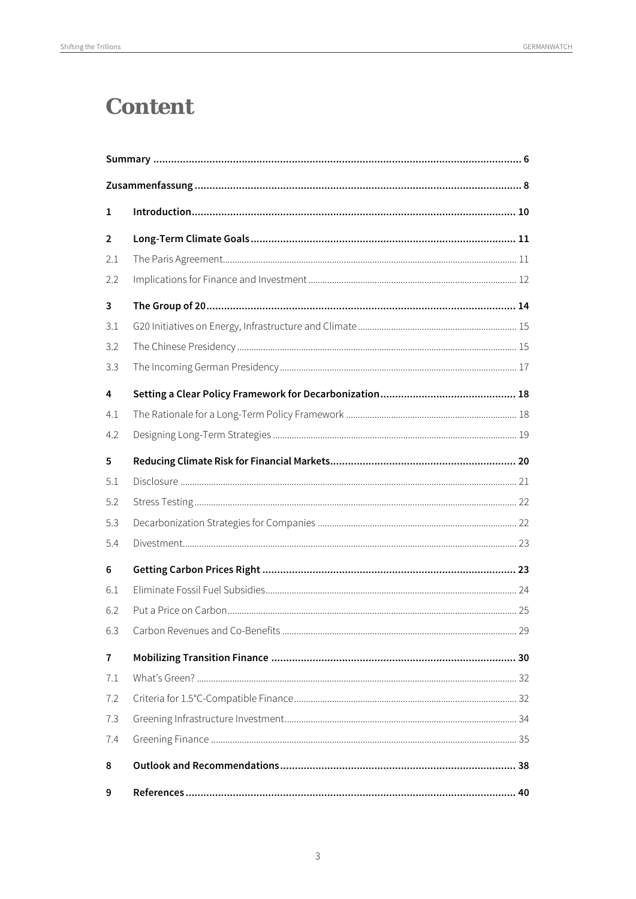### **Content**

| 1              |  |
|----------------|--|
| $\overline{2}$ |  |
| 2.1            |  |
| 2.2            |  |
| 3              |  |
| 3.1            |  |
| 3.2            |  |
| 3.3            |  |
| 4              |  |
| 4.1            |  |
| 4.2            |  |
| 5              |  |
| 5.1            |  |
| 5.2            |  |
| 5.3            |  |
| 5.4            |  |
| 6              |  |
| 6.1            |  |
| 6.2            |  |
| 6.3            |  |
| $\overline{7}$ |  |
| 7.1            |  |
| 7.2            |  |
| 7.3            |  |
| 7.4            |  |
| 8              |  |
| 9              |  |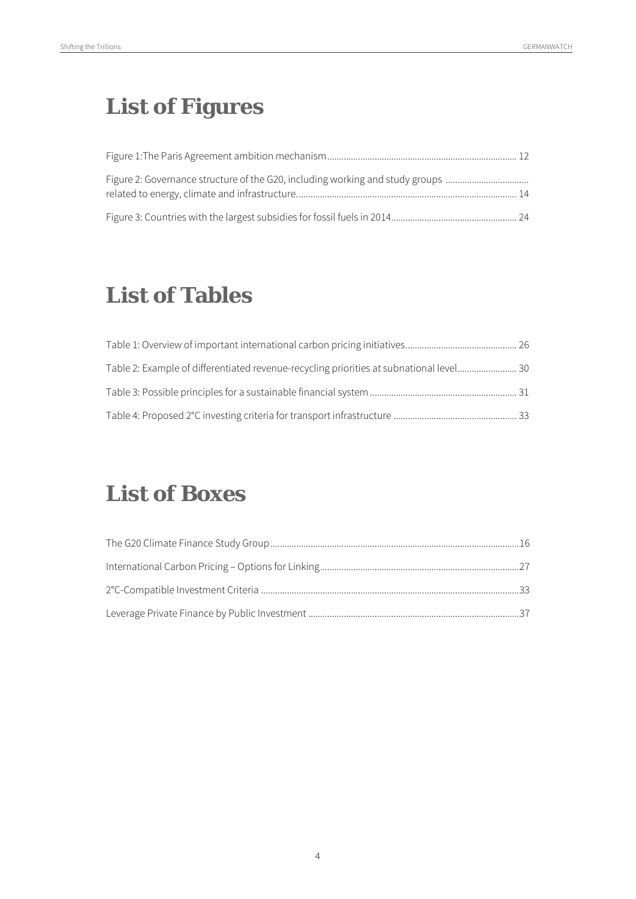## **List of Figures**

| Figure 2: Governance structure of the G20, including working and study groups |  |
|-------------------------------------------------------------------------------|--|
|                                                                               |  |
|                                                                               |  |

## **List of Tables**

| Table 2: Example of differentiated revenue-recycling priorities at subnational level 30 |  |
|-----------------------------------------------------------------------------------------|--|
|                                                                                         |  |
|                                                                                         |  |

## **List of Boxes**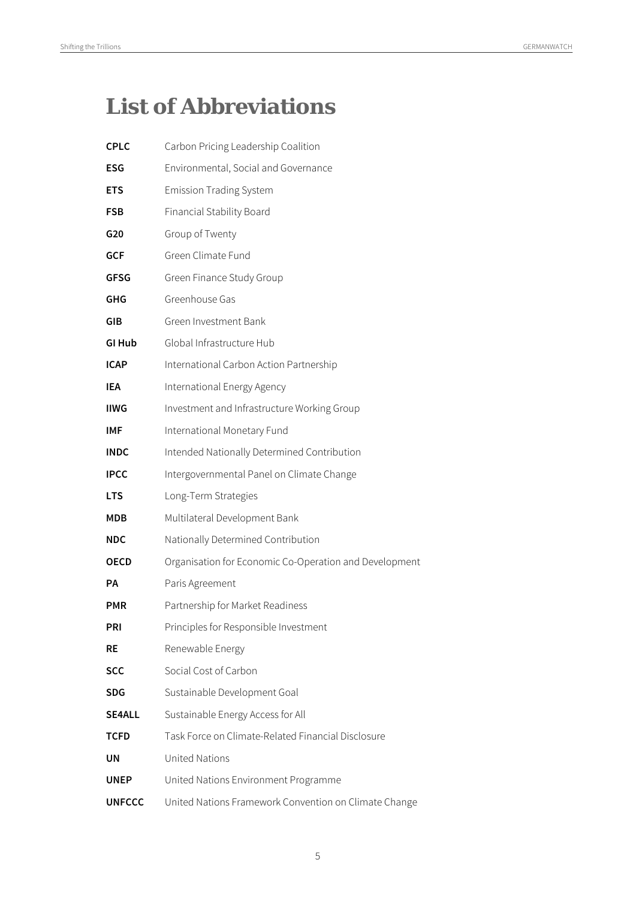## **List of Abbreviations**

| <b>CPLC</b>   | Carbon Pricing Leadership Coalition                    |
|---------------|--------------------------------------------------------|
| ESG           | Environmental, Social and Governance                   |
| <b>ETS</b>    | <b>Emission Trading System</b>                         |
| <b>FSB</b>    | Financial Stability Board                              |
| G20           | Group of Twenty                                        |
| <b>GCF</b>    | Green Climate Fund                                     |
| <b>GFSG</b>   | Green Finance Study Group                              |
| GHG           | Greenhouse Gas                                         |
| GIB           | Green Investment Bank                                  |
| GI Hub        | Global Infrastructure Hub                              |
| <b>ICAP</b>   | International Carbon Action Partnership                |
| IEA           | International Energy Agency                            |
| <b>IIWG</b>   | Investment and Infrastructure Working Group            |
| <b>IMF</b>    | International Monetary Fund                            |
| <b>INDC</b>   | Intended Nationally Determined Contribution            |
| <b>IPCC</b>   | Intergovernmental Panel on Climate Change              |
| <b>LTS</b>    | Long-Term Strategies                                   |
| MDB           | Multilateral Development Bank                          |
| <b>NDC</b>    | Nationally Determined Contribution                     |
| <b>OECD</b>   | Organisation for Economic Co-Operation and Development |
| РA            | Paris Agreement                                        |
| PMR           | Partnership for Market Readiness                       |
| PRI           | Principles for Responsible Investment                  |
| <b>RE</b>     | Renewable Energy                                       |
| <b>SCC</b>    | Social Cost of Carbon                                  |
| <b>SDG</b>    | Sustainable Development Goal                           |
| <b>SE4ALL</b> | Sustainable Energy Access for All                      |
| TCFD          | Task Force on Climate-Related Financial Disclosure     |
| UN            | <b>United Nations</b>                                  |
| <b>UNEP</b>   | United Nations Environment Programme                   |
| <b>UNFCCC</b> | United Nations Framework Convention on Climate Change  |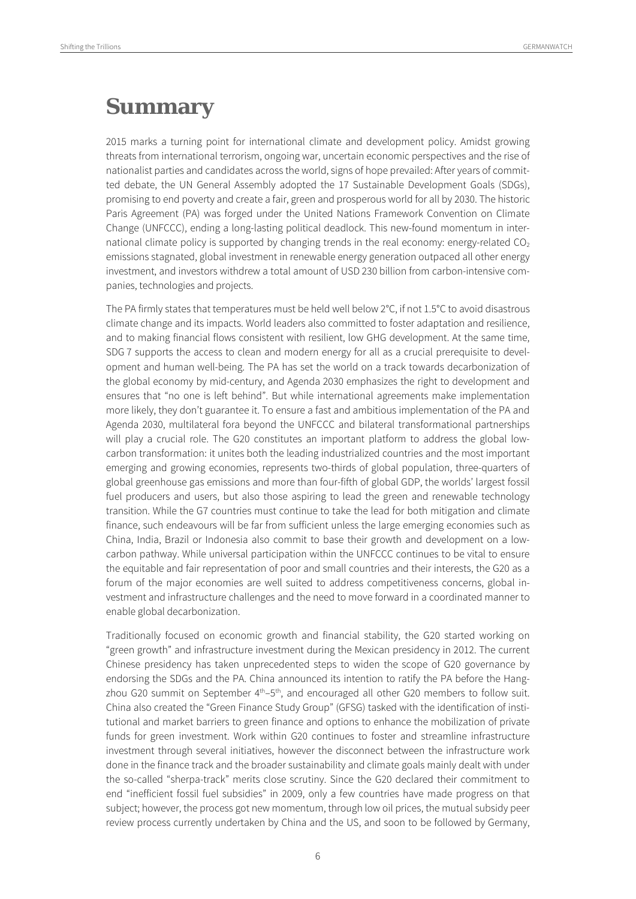### **Summary**

2015 marks a turning point for international climate and development policy. Amidst growing threats from international terrorism, ongoing war, uncertain economic perspectives and the rise of nationalist parties and candidates across the world, signs of hope prevailed: After years of committed debate, the UN General Assembly adopted the 17 Sustainable Development Goals (SDGs), promising to end poverty and create a fair, green and prosperous world for all by 2030. The historic Paris Agreement (PA) was forged under the United Nations Framework Convention on Climate Change (UNFCCC), ending a long-lasting political deadlock. This new-found momentum in international climate policy is supported by changing trends in the real economy: energy-related  $CO<sub>2</sub>$ emissions stagnated, global investment in renewable energy generation outpaced all other energy investment, and investors withdrew a total amount of USD 230 billion from carbon-intensive companies, technologies and projects.

The PA firmly states that temperatures must be held well below 2°C, if not 1.5°C to avoid disastrous climate change and its impacts. World leaders also committed to foster adaptation and resilience, and to making financial flows consistent with resilient, low GHG development. At the same time, SDG 7 supports the access to clean and modern energy for all as a crucial prerequisite to development and human well-being. The PA has set the world on a track towards decarbonization of the global economy by mid-century, and Agenda 2030 emphasizes the right to development and ensures that "no one is left behind". But while international agreements make implementation more likely, they don't guarantee it. To ensure a fast and ambitious implementation of the PA and Agenda 2030, multilateral fora beyond the UNFCCC and bilateral transformational partnerships will play a crucial role. The G20 constitutes an important platform to address the global lowcarbon transformation: it unites both the leading industrialized countries and the most important emerging and growing economies, represents two-thirds of global population, three-quarters of global greenhouse gas emissions and more than four-fifth of global GDP, the worlds' largest fossil fuel producers and users, but also those aspiring to lead the green and renewable technology transition. While the G7 countries must continue to take the lead for both mitigation and climate finance, such endeavours will be far from sufficient unless the large emerging economies such as China, India, Brazil or Indonesia also commit to base their growth and development on a lowcarbon pathway. While universal participation within the UNFCCC continues to be vital to ensure the equitable and fair representation of poor and small countries and their interests, the G20 as a forum of the major economies are well suited to address competitiveness concerns, global investment and infrastructure challenges and the need to move forward in a coordinated manner to enable global decarbonization.

Traditionally focused on economic growth and financial stability, the G20 started working on "green growth" and infrastructure investment during the Mexican presidency in 2012. The current Chinese presidency has taken unprecedented steps to widen the scope of G20 governance by endorsing the SDGs and the PA. China announced its intention to ratify the PA before the Hangzhou G20 summit on September  $4<sup>th</sup> – 5<sup>th</sup>$ , and encouraged all other G20 members to follow suit. China also created the "Green Finance Study Group" (GFSG) tasked with the identification of institutional and market barriers to green finance and options to enhance the mobilization of private funds for green investment. Work within G20 continues to foster and streamline infrastructure investment through several initiatives, however the disconnect between the infrastructure work done in the finance track and the broader sustainability and climate goals mainly dealt with under the so-called "sherpa-track" merits close scrutiny. Since the G20 declared their commitment to end "inefficient fossil fuel subsidies" in 2009, only a few countries have made progress on that subject; however, the process got new momentum, through low oil prices, the mutual subsidy peer review process currently undertaken by China and the US, and soon to be followed by Germany,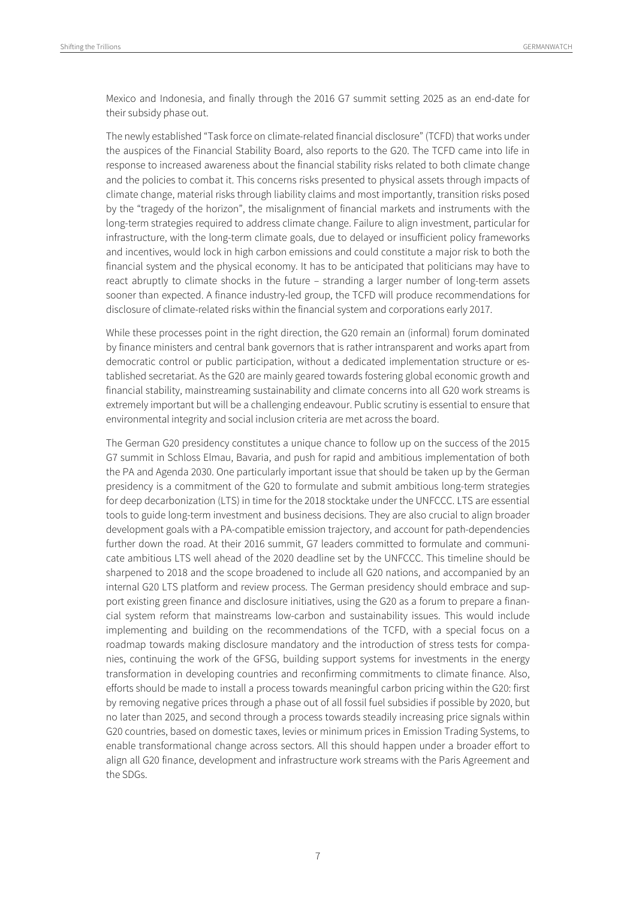Mexico and Indonesia, and finally through the 2016 G7 summit setting 2025 as an end-date for their subsidy phase out.

The newly established "Task force on climate-related financial disclosure" (TCFD) that works under the auspices of the Financial Stability Board, also reports to the G20. The TCFD came into life in response to increased awareness about the financial stability risks related to both climate change and the policies to combat it. This concerns risks presented to physical assets through impacts of climate change, material risks through liability claims and most importantly, transition risks posed by the "tragedy of the horizon", the misalignment of financial markets and instruments with the long-term strategies required to address climate change. Failure to align investment, particular for infrastructure, with the long-term climate goals, due to delayed or insufficient policy frameworks and incentives, would lock in high carbon emissions and could constitute a major risk to both the financial system and the physical economy. It has to be anticipated that politicians may have to react abruptly to climate shocks in the future – stranding a larger number of long-term assets sooner than expected. A finance industry-led group, the TCFD will produce recommendations for disclosure of climate-related risks within the financial system and corporations early 2017.

While these processes point in the right direction, the G20 remain an (informal) forum dominated by finance ministers and central bank governors that is rather intransparent and works apart from democratic control or public participation, without a dedicated implementation structure or established secretariat. As the G20 are mainly geared towards fostering global economic growth and financial stability, mainstreaming sustainability and climate concerns into all G20 work streams is extremely important but will be a challenging endeavour. Public scrutiny is essential to ensure that environmental integrity and social inclusion criteria are met across the board.

The German G20 presidency constitutes a unique chance to follow up on the success of the 2015 G7 summit in Schloss Elmau, Bavaria, and push for rapid and ambitious implementation of both the PA and Agenda 2030. One particularly important issue that should be taken up by the German presidency is a commitment of the G20 to formulate and submit ambitious long-term strategies for deep decarbonization (LTS) in time for the 2018 stocktake under the UNFCCC. LTS are essential tools to guide long-term investment and business decisions. They are also crucial to align broader development goals with a PA-compatible emission trajectory, and account for path-dependencies further down the road. At their 2016 summit, G7 leaders committed to formulate and communicate ambitious LTS well ahead of the 2020 deadline set by the UNFCCC. This timeline should be sharpened to 2018 and the scope broadened to include all G20 nations, and accompanied by an internal G20 LTS platform and review process. The German presidency should embrace and support existing green finance and disclosure initiatives, using the G20 as a forum to prepare a financial system reform that mainstreams low-carbon and sustainability issues. This would include implementing and building on the recommendations of the TCFD, with a special focus on a roadmap towards making disclosure mandatory and the introduction of stress tests for companies, continuing the work of the GFSG, building support systems for investments in the energy transformation in developing countries and reconfirming commitments to climate finance. Also, efforts should be made to install a process towards meaningful carbon pricing within the G20: first by removing negative prices through a phase out of all fossil fuel subsidies if possible by 2020, but no later than 2025, and second through a process towards steadily increasing price signals within G20 countries, based on domestic taxes, levies or minimum prices in Emission Trading Systems, to enable transformational change across sectors. All this should happen under a broader effort to align all G20 finance, development and infrastructure work streams with the Paris Agreement and the SDGs.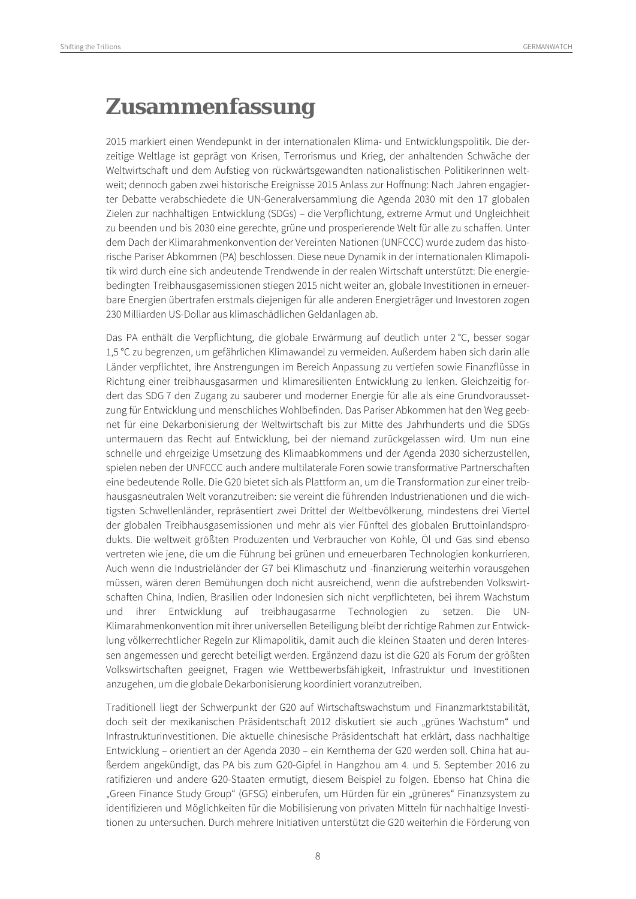### **Zusammenfassung**

2015 markiert einen Wendepunkt in der internationalen Klima- und Entwicklungspolitik. Die derzeitige Weltlage ist geprägt von Krisen, Terrorismus und Krieg, der anhaltenden Schwäche der Weltwirtschaft und dem Aufstieg von rückwärtsgewandten nationalistischen PolitikerInnen weltweit; dennoch gaben zwei historische Ereignisse 2015 Anlass zur Hoffnung: Nach Jahren engagierter Debatte verabschiedete die UN-Generalversammlung die Agenda 2030 mit den 17 globalen Zielen zur nachhaltigen Entwicklung (SDGs) – die Verpflichtung, extreme Armut und Ungleichheit zu beenden und bis 2030 eine gerechte, grüne und prosperierende Welt für alle zu schaffen. Unter dem Dach der Klimarahmenkonvention der Vereinten Nationen (UNFCCC) wurde zudem das historische Pariser Abkommen (PA) beschlossen. Diese neue Dynamik in der internationalen Klimapolitik wird durch eine sich andeutende Trendwende in der realen Wirtschaft unterstützt: Die energiebedingten Treibhausgasemissionen stiegen 2015 nicht weiter an, globale Investitionen in erneuerbare Energien übertrafen erstmals diejenigen für alle anderen Energieträger und Investoren zogen 230 Milliarden US-Dollar aus klimaschädlichen Geldanlagen ab.

Das PA enthält die Verpflichtung, die globale Erwärmung auf deutlich unter 2 °C, besser sogar 1,5 °C zu begrenzen, um gefährlichen Klimawandel zu vermeiden. Außerdem haben sich darin alle Länder verpflichtet, ihre Anstrengungen im Bereich Anpassung zu vertiefen sowie Finanzflüsse in Richtung einer treibhausgasarmen und klimaresilienten Entwicklung zu lenken. Gleichzeitig fordert das SDG 7 den Zugang zu sauberer und moderner Energie für alle als eine Grundvoraussetzung für Entwicklung und menschliches Wohlbefinden. Das Pariser Abkommen hat den Weg geebnet für eine Dekarbonisierung der Weltwirtschaft bis zur Mitte des Jahrhunderts und die SDGs untermauern das Recht auf Entwicklung, bei der niemand zurückgelassen wird. Um nun eine schnelle und ehrgeizige Umsetzung des Klimaabkommens und der Agenda 2030 sicherzustellen, spielen neben der UNFCCC auch andere multilaterale Foren sowie transformative Partnerschaften eine bedeutende Rolle. Die G20 bietet sich als Plattform an, um die Transformation zur einer treibhausgasneutralen Welt voranzutreiben: sie vereint die führenden Industrienationen und die wichtigsten Schwellenländer, repräsentiert zwei Drittel der Weltbevölkerung, mindestens drei Viertel der globalen Treibhausgasemissionen und mehr als vier Fünftel des globalen Bruttoinlandsprodukts. Die weltweit größten Produzenten und Verbraucher von Kohle, Öl und Gas sind ebenso vertreten wie jene, die um die Führung bei grünen und erneuerbaren Technologien konkurrieren. Auch wenn die Industrieländer der G7 bei Klimaschutz und -finanzierung weiterhin vorausgehen müssen, wären deren Bemühungen doch nicht ausreichend, wenn die aufstrebenden Volkswirtschaften China, Indien, Brasilien oder Indonesien sich nicht verpflichteten, bei ihrem Wachstum und ihrer Entwicklung auf treibhaugasarme Technologien zu setzen. Die UN-Klimarahmenkonvention mit ihrer universellen Beteiligung bleibt der richtige Rahmen zur Entwicklung völkerrechtlicher Regeln zur Klimapolitik, damit auch die kleinen Staaten und deren Interessen angemessen und gerecht beteiligt werden. Ergänzend dazu ist die G20 als Forum der größten Volkswirtschaften geeignet, Fragen wie Wettbewerbsfähigkeit, Infrastruktur und Investitionen anzugehen, um die globale Dekarbonisierung koordiniert voranzutreiben.

Traditionell liegt der Schwerpunkt der G20 auf Wirtschaftswachstum und Finanzmarktstabilität, doch seit der mexikanischen Präsidentschaft 2012 diskutiert sie auch "grünes Wachstum" und Infrastrukturinvestitionen. Die aktuelle chinesische Präsidentschaft hat erklärt, dass nachhaltige Entwicklung – orientiert an der Agenda 2030 – ein Kernthema der G20 werden soll. China hat außerdem angekündigt, das PA bis zum G20-Gipfel in Hangzhou am 4. und 5. September 2016 zu ratifizieren und andere G20-Staaten ermutigt, diesem Beispiel zu folgen. Ebenso hat China die "Green Finance Study Group" (GFSG) einberufen, um Hürden für ein "grüneres" Finanzsystem zu identifizieren und Möglichkeiten für die Mobilisierung von privaten Mitteln für nachhaltige Investitionen zu untersuchen. Durch mehrere Initiativen unterstützt die G20 weiterhin die Förderung von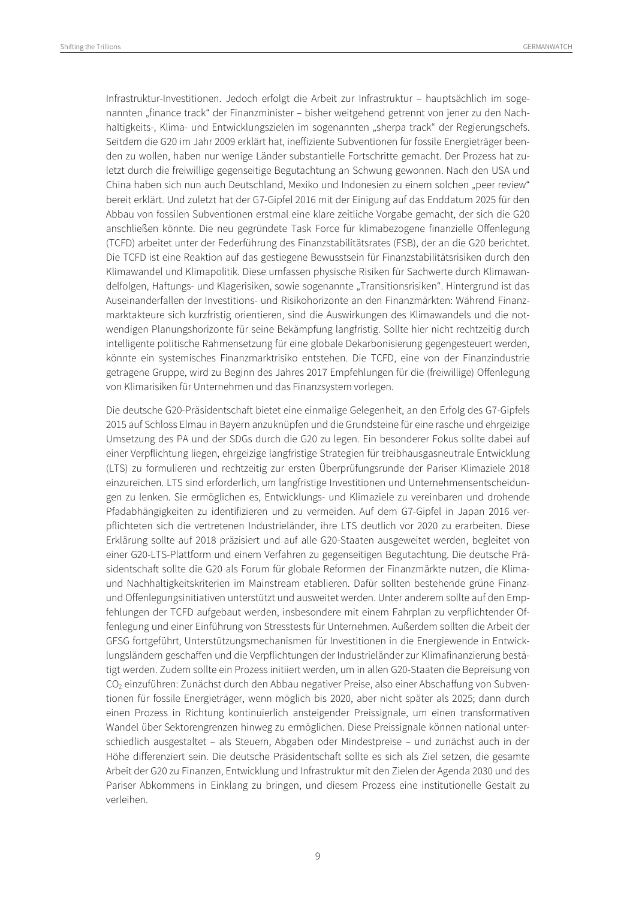Infrastruktur-Investitionen. Jedoch erfolgt die Arbeit zur Infrastruktur – hauptsächlich im sogenannten "finance track" der Finanzminister – bisher weitgehend getrennt von jener zu den Nachhaltigkeits-, Klima- und Entwicklungszielen im sogenannten "sherpa track" der Regierungschefs. Seitdem die G20 im Jahr 2009 erklärt hat, ineffiziente Subventionen für fossile Energieträger beenden zu wollen, haben nur wenige Länder substantielle Fortschritte gemacht. Der Prozess hat zuletzt durch die freiwillige gegenseitige Begutachtung an Schwung gewonnen. Nach den USA und China haben sich nun auch Deutschland, Mexiko und Indonesien zu einem solchen "peer review" bereit erklärt. Und zuletzt hat der G7-Gipfel 2016 mit der Einigung auf das Enddatum 2025 für den Abbau von fossilen Subventionen erstmal eine klare zeitliche Vorgabe gemacht, der sich die G20 anschließen könnte. Die neu gegründete Task Force für klimabezogene finanzielle Offenlegung (TCFD) arbeitet unter der Federführung des Finanzstabilitätsrates (FSB), der an die G20 berichtet. Die TCFD ist eine Reaktion auf das gestiegene Bewusstsein für Finanzstabilitätsrisiken durch den Klimawandel und Klimapolitik. Diese umfassen physische Risiken für Sachwerte durch Klimawandelfolgen, Haftungs- und Klagerisiken, sowie sogenannte "Transitionsrisiken". Hintergrund ist das Auseinanderfallen der Investitions- und Risikohorizonte an den Finanzmärkten: Während Finanzmarktakteure sich kurzfristig orientieren, sind die Auswirkungen des Klimawandels und die notwendigen Planungshorizonte für seine Bekämpfung langfristig. Sollte hier nicht rechtzeitig durch intelligente politische Rahmensetzung für eine globale Dekarbonisierung gegengesteuert werden, könnte ein systemisches Finanzmarktrisiko entstehen. Die TCFD, eine von der Finanzindustrie getragene Gruppe, wird zu Beginn des Jahres 2017 Empfehlungen für die (freiwillige) Offenlegung von Klimarisiken für Unternehmen und das Finanzsystem vorlegen.

Die deutsche G20-Präsidentschaft bietet eine einmalige Gelegenheit, an den Erfolg des G7-Gipfels 2015 auf Schloss Elmau in Bayern anzuknüpfen und die Grundsteine für eine rasche und ehrgeizige Umsetzung des PA und der SDGs durch die G20 zu legen. Ein besonderer Fokus sollte dabei auf einer Verpflichtung liegen, ehrgeizige langfristige Strategien für treibhausgasneutrale Entwicklung (LTS) zu formulieren und rechtzeitig zur ersten Überprüfungsrunde der Pariser Klimaziele 2018 einzureichen. LTS sind erforderlich, um langfristige Investitionen und Unternehmensentscheidungen zu lenken. Sie ermöglichen es, Entwicklungs- und Klimaziele zu vereinbaren und drohende Pfadabhängigkeiten zu identifizieren und zu vermeiden. Auf dem G7-Gipfel in Japan 2016 verpflichteten sich die vertretenen Industrieländer, ihre LTS deutlich vor 2020 zu erarbeiten. Diese Erklärung sollte auf 2018 präzisiert und auf alle G20-Staaten ausgeweitet werden, begleitet von einer G20-LTS-Plattform und einem Verfahren zu gegenseitigen Begutachtung. Die deutsche Präsidentschaft sollte die G20 als Forum für globale Reformen der Finanzmärkte nutzen, die Klimaund Nachhaltigkeitskriterien im Mainstream etablieren. Dafür sollten bestehende grüne Finanzund Offenlegungsinitiativen unterstützt und ausweitet werden. Unter anderem sollte auf den Empfehlungen der TCFD aufgebaut werden, insbesondere mit einem Fahrplan zu verpflichtender Offenlegung und einer Einführung von Stresstests für Unternehmen. Außerdem sollten die Arbeit der GFSG fortgeführt, Unterstützungsmechanismen für Investitionen in die Energiewende in Entwicklungsländern geschaffen und die Verpflichtungen der Industrieländer zur Klimafinanzierung bestätigt werden. Zudem sollte ein Prozess initiiert werden, um in allen G20-Staaten die Bepreisung von CO2 einzuführen: Zunächst durch den Abbau negativer Preise, also einer Abschaffung von Subventionen für fossile Energieträger, wenn möglich bis 2020, aber nicht später als 2025; dann durch einen Prozess in Richtung kontinuierlich ansteigender Preissignale, um einen transformativen Wandel über Sektorengrenzen hinweg zu ermöglichen. Diese Preissignale können national unterschiedlich ausgestaltet – als Steuern, Abgaben oder Mindestpreise – und zunächst auch in der Höhe differenziert sein. Die deutsche Präsidentschaft sollte es sich als Ziel setzen, die gesamte Arbeit der G20 zu Finanzen, Entwicklung und Infrastruktur mit den Zielen der Agenda 2030 und des Pariser Abkommens in Einklang zu bringen, und diesem Prozess eine institutionelle Gestalt zu verleihen.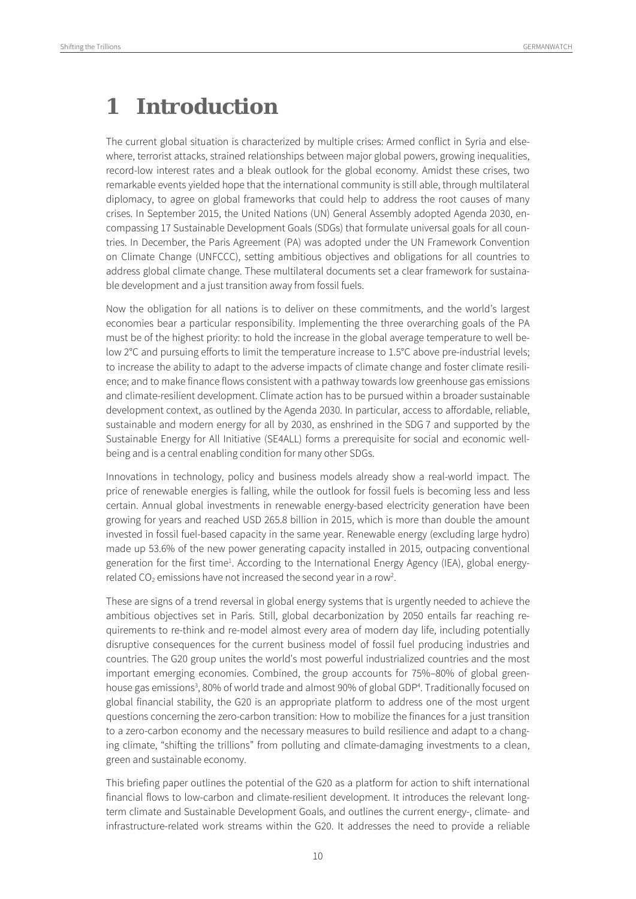### **1 Introduction**

The current global situation is characterized by multiple crises: Armed conflict in Syria and elsewhere, terrorist attacks, strained relationships between major global powers, growing inequalities, record-low interest rates and a bleak outlook for the global economy. Amidst these crises, two remarkable events yielded hope that the international community is still able, through multilateral diplomacy, to agree on global frameworks that could help to address the root causes of many crises. In September 2015, the United Nations (UN) General Assembly adopted Agenda 2030, encompassing 17 Sustainable Development Goals (SDGs) that formulate universal goals for all countries. In December, the Paris Agreement (PA) was adopted under the UN Framework Convention on Climate Change (UNFCCC), setting ambitious objectives and obligations for all countries to address global climate change. These multilateral documents set a clear framework for sustainable development and a just transition away from fossil fuels.

Now the obligation for all nations is to deliver on these commitments, and the world's largest economies bear a particular responsibility. Implementing the three overarching goals of the PA must be of the highest priority: to hold the increase in the global average temperature to well below 2°C and pursuing efforts to limit the temperature increase to 1.5°C above pre-industrial levels; to increase the ability to adapt to the adverse impacts of climate change and foster climate resilience; and to make finance flows consistent with a pathway towards low greenhouse gas emissions and climate-resilient development. Climate action has to be pursued within a broader sustainable development context, as outlined by the Agenda 2030. In particular, access to affordable, reliable, sustainable and modern energy for all by 2030, as enshrined in the SDG 7 and supported by the Sustainable Energy for All Initiative (SE4ALL) forms a prerequisite for social and economic wellbeing and is a central enabling condition for many other SDGs.

Innovations in technology, policy and business models already show a real-world impact. The price of renewable energies is falling, while the outlook for fossil fuels is becoming less and less certain. Annual global investments in renewable energy-based electricity generation have been growing for years and reached USD 265.8 billion in 2015, which is more than double the amount invested in fossil fuel-based capacity in the same year. Renewable energy (excluding large hydro) made up 53.6% of the new power generating capacity installed in 2015, outpacing conventional generation for the first time<sup>1</sup>. According to the International Energy Agency (IEA), global energyrelated CO<sub>2</sub> emissions have not increased the second year in a row<sup>2</sup>.

These are signs of a trend reversal in global energy systems that is urgently needed to achieve the ambitious objectives set in Paris. Still, global decarbonization by 2050 entails far reaching requirements to re-think and re-model almost every area of modern day life, including potentially disruptive consequences for the current business model of fossil fuel producing industries and countries. The G20 group unites the world's most powerful industrialized countries and the most important emerging economies. Combined, the group accounts for 75%–80% of global greenhouse gas emissions<sup>3</sup>, 80% of world trade and almost 90% of global GDP<sup>4</sup>. Traditionally focused on global financial stability, the G20 is an appropriate platform to address one of the most urgent questions concerning the zero-carbon transition: How to mobilize the finances for a just transition to a zero-carbon economy and the necessary measures to build resilience and adapt to a changing climate, "shifting the trillions" from polluting and climate-damaging investments to a clean, green and sustainable economy.

This briefing paper outlines the potential of the G20 as a platform for action to shift international financial flows to low-carbon and climate-resilient development. It introduces the relevant longterm climate and Sustainable Development Goals, and outlines the current energy-, climate- and infrastructure-related work streams within the G20. It addresses the need to provide a reliable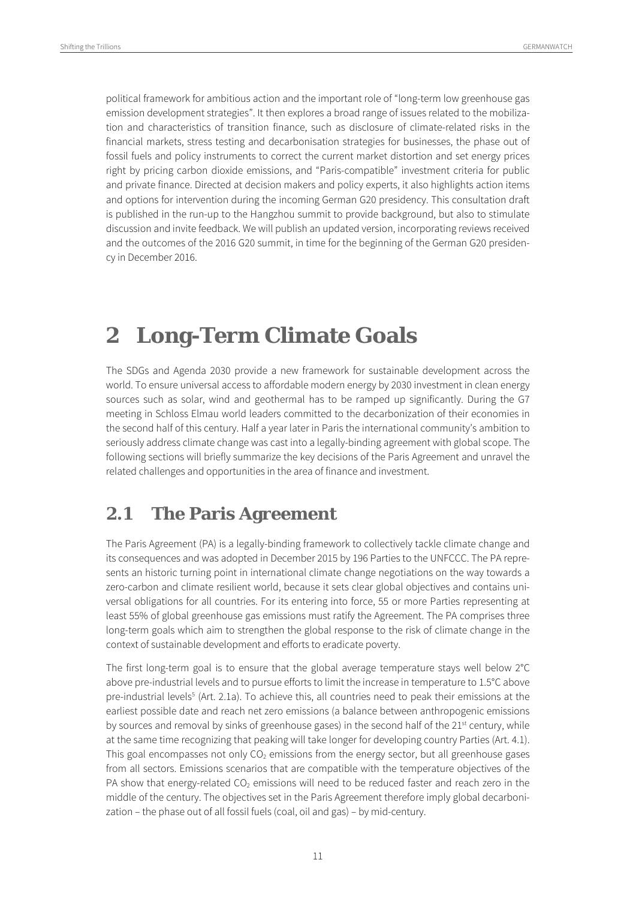political framework for ambitious action and the important role of "long-term low greenhouse gas emission development strategies". It then explores a broad range of issues related to the mobilization and characteristics of transition finance, such as disclosure of climate-related risks in the financial markets, stress testing and decarbonisation strategies for businesses, the phase out of fossil fuels and policy instruments to correct the current market distortion and set energy prices right by pricing carbon dioxide emissions, and "Paris-compatible" investment criteria for public and private finance. Directed at decision makers and policy experts, it also highlights action items and options for intervention during the incoming German G20 presidency. This consultation draft is published in the run-up to the Hangzhou summit to provide background, but also to stimulate discussion and invite feedback. We will publish an updated version, incorporating reviews received and the outcomes of the 2016 G20 summit, in time for the beginning of the German G20 presidency in December 2016.

### **2 Long-Term Climate Goals**

The SDGs and Agenda 2030 provide a new framework for sustainable development across the world. To ensure universal access to affordable modern energy by 2030 investment in clean energy sources such as solar, wind and geothermal has to be ramped up significantly. During the G7 meeting in Schloss Elmau world leaders committed to the decarbonization of their economies in the second half of this century. Half a year later in Paris the international community's ambition to seriously address climate change was cast into a legally-binding agreement with global scope. The following sections will briefly summarize the key decisions of the Paris Agreement and unravel the related challenges and opportunities in the area of finance and investment.

#### **2.1 The Paris Agreement**

The Paris Agreement (PA) is a legally-binding framework to collectively tackle climate change and its consequences and was adopted in December 2015 by 196 Parties to the UNFCCC. The PA represents an historic turning point in international climate change negotiations on the way towards a zero-carbon and climate resilient world, because it sets clear global objectives and contains universal obligations for all countries. For its entering into force, 55 or more Parties representing at least 55% of global greenhouse gas emissions must ratify the Agreement. The PA comprises three long-term goals which aim to strengthen the global response to the risk of climate change in the context of sustainable development and efforts to eradicate poverty.

The first long-term goal is to ensure that the global average temperature stays well below 2°C above pre-industrial levels and to pursue efforts to limit the increase in temperature to 1.5°C above pre-industrial levels<sup>5</sup> (Art. 2.1a). To achieve this, all countries need to peak their emissions at the earliest possible date and reach net zero emissions (a balance between anthropogenic emissions by sources and removal by sinks of greenhouse gases) in the second half of the  $21^{st}$  century, while at the same time recognizing that peaking will take longer for developing country Parties (Art. 4.1). This goal encompasses not only  $CO<sub>2</sub>$  emissions from the energy sector, but all greenhouse gases from all sectors. Emissions scenarios that are compatible with the temperature objectives of the PA show that energy-related  $CO<sub>2</sub>$  emissions will need to be reduced faster and reach zero in the middle of the century. The objectives set in the Paris Agreement therefore imply global decarbonization – the phase out of all fossil fuels (coal, oil and gas) – by mid-century.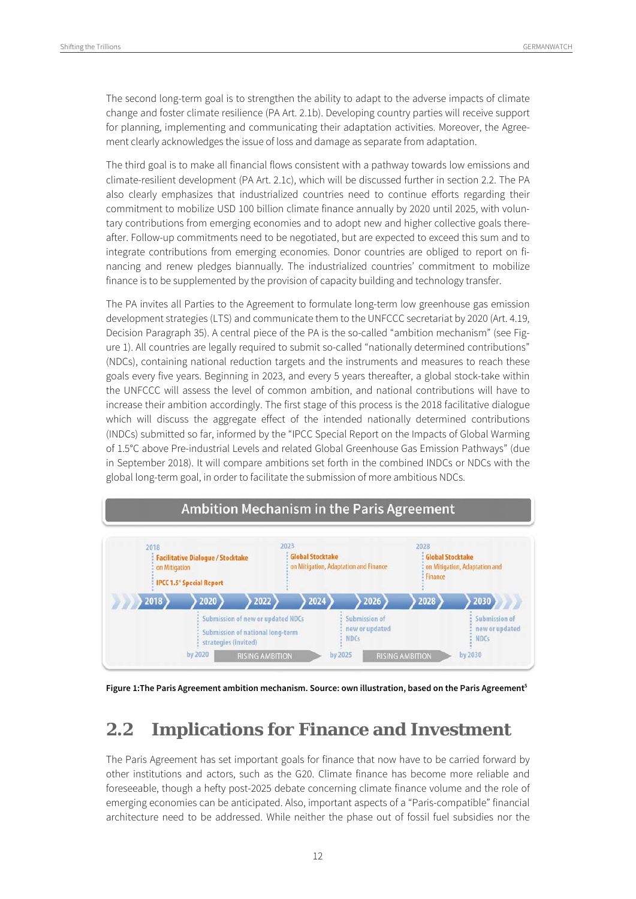The second long-term goal is to strengthen the ability to adapt to the adverse impacts of climate change and foster climate resilience (PA Art. 2.1b). Developing country parties will receive support for planning, implementing and communicating their adaptation activities. Moreover, the Agreement clearly acknowledges the issue of loss and damage as separate from adaptation.

The third goal is to make all financial flows consistent with a pathway towards low emissions and climate-resilient development (PA Art. 2.1c), which will be discussed further in section 2.2. The PA also clearly emphasizes that industrialized countries need to continue efforts regarding their commitment to mobilize USD 100 billion climate finance annually by 2020 until 2025, with voluntary contributions from emerging economies and to adopt new and higher collective goals thereafter. Follow-up commitments need to be negotiated, but are expected to exceed this sum and to integrate contributions from emerging economies. Donor countries are obliged to report on financing and renew pledges biannually. The industrialized countries' commitment to mobilize finance is to be supplemented by the provision of capacity building and technology transfer.

The PA invites all Parties to the Agreement to formulate long-term low greenhouse gas emission development strategies (LTS) and communicate them to the UNFCCC secretariat by 2020 (Art. 4.19, Decision Paragraph 35). A central piece of the PA is the so-called "ambition mechanism" (see Figure 1). All countries are legally required to submit so-called "nationally determined contributions" (NDCs), containing national reduction targets and the instruments and measures to reach these goals every five years. Beginning in 2023, and every 5 years thereafter, a global stock-take within the UNFCCC will assess the level of common ambition, and national contributions will have to increase their ambition accordingly. The first stage of this process is the 2018 facilitative dialogue which will discuss the aggregate effect of the intended nationally determined contributions (INDCs) submitted so far, informed by the "IPCC Special Report on the Impacts of Global Warming of 1.5°C above Pre-industrial Levels and related Global Greenhouse Gas Emission Pathways" (due in September 2018). It will compare ambitions set forth in the combined INDCs or NDCs with the global long-term goal, in order to facilitate the submission of more ambitious NDCs.



**Figure 1:The Paris Agreement ambition mechanism. Source: own illustration, based on the Paris Agreement5**

### **2.2 Implications for Finance and Investment**

The Paris Agreement has set important goals for finance that now have to be carried forward by other institutions and actors, such as the G20. Climate finance has become more reliable and foreseeable, though a hefty post-2025 debate concerning climate finance volume and the role of emerging economies can be anticipated. Also, important aspects of a "Paris-compatible" financial architecture need to be addressed. While neither the phase out of fossil fuel subsidies nor the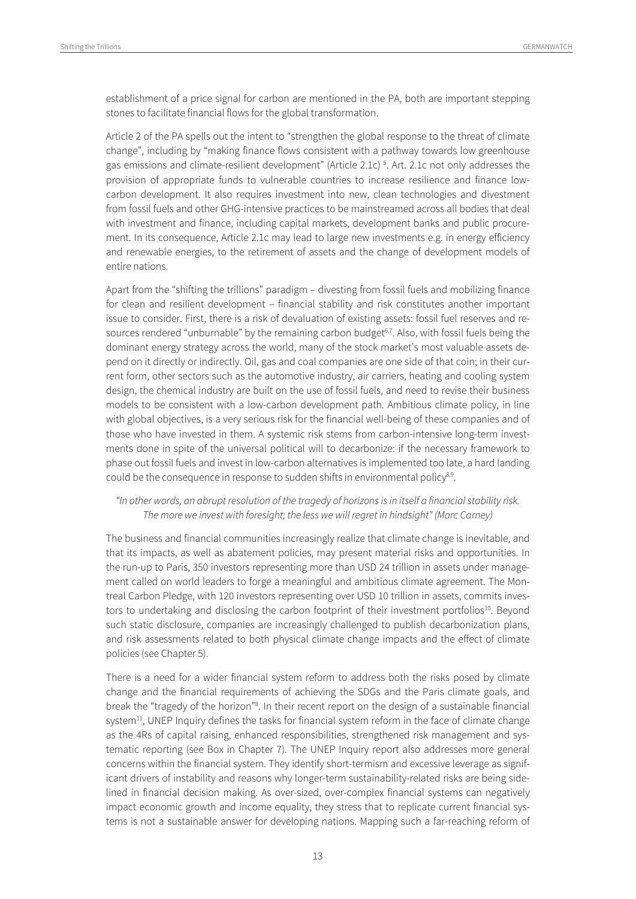establishment of a price signal for carbon are mentioned in the PA, both are important stepping stones to facilitate financial flows for the global transformation.

Article 2 of the PA spells out the intent to "strengthen the global response to the threat of climate change", including by "making finance flows consistent with a pathway towards low greenhouse gas emissions and climate-resilient development" (Article 2.1c) 5 . Art. 2.1c not only addresses the provision of appropriate funds to vulnerable countries to increase resilience and finance lowcarbon development. It also requires investment into new, clean technologies and divestment from fossil fuels and other GHG-intensive practices to be mainstreamed across all bodies that deal with investment and finance, including capital markets, development banks and public procurement. In its consequence, Article 2.1c may lead to large new investments e.g. in energy efficiency and renewable energies, to the retirement of assets and the change of development models of entire nations.

Apart from the "shifting the trillions" paradigm – divesting from fossil fuels and mobilizing finance for clean and resilient development – financial stability and risk constitutes another important issue to consider. First, there is a risk of devaluation of existing assets: fossil fuel reserves and resources rendered "unburnable" by the remaining carbon budget<sup>6,7</sup>. Also, with fossil fuels being the dominant energy strategy across the world, many of the stock market's most valuable assets depend on it directly or indirectly. Oil, gas and coal companies are one side of that coin; in their current form, other sectors such as the automotive industry, air carriers, heating and cooling system design, the chemical industry are built on the use of fossil fuels, and need to revise their business models to be consistent with a low-carbon development path. Ambitious climate policy, in line with global objectives, is a very serious risk for the financial well-being of these companies and of those who have invested in them. A systemic risk stems from carbon-intensive long-term investments done in spite of the universal political will to decarbonize: if the necessary framework to phase out fossil fuels and invest in low-carbon alternatives is implemented too late, a hard landing could be the consequence in response to sudden shifts in environmental policy<sup>8,9</sup>.

#### "In other words, an abrupt resolution of the tragedy of horizons is in itself a financial stability risk. The more we invest with foresight; the less we will regret in hindsight" (Marc Carney)

The business and financial communities increasingly realize that climate change is inevitable, and that its impacts, as well as abatement policies, may present material risks and opportunities. In the run-up to Paris, 350 investors representing more than USD 24 trillion in assets under management called on world leaders to forge a meaningful and ambitious climate agreement. The Montreal Carbon Pledge, with 120 investors representing over USD 10 trillion in assets, commits investors to undertaking and disclosing the carbon footprint of their investment portfolios<sup>10</sup>. Beyond such static disclosure, companies are increasingly challenged to publish decarbonization plans, and risk assessments related to both physical climate change impacts and the effect of climate policies (see Chapter 5).

There is a need for a wider financial system reform to address both the risks posed by climate change and the financial requirements of achieving the SDGs and the Paris climate goals, and break the "tragedy of the horizon"<sup>8</sup>. In their recent report on the design of a sustainable financial system<sup>11</sup>, UNEP Inquiry defines the tasks for financial system reform in the face of climate change as the 4Rs of capital raising, enhanced responsibilities, strengthened risk management and systematic reporting (see Box in Chapter 7). The UNEP Inquiry report also addresses more general concerns within the financial system. They identify short-termism and excessive leverage as significant drivers of instability and reasons why longer-term sustainability-related risks are being sidelined in financial decision making. As over-sized, over-complex financial systems can negatively impact economic growth and income equality, they stress that to replicate current financial systems is not a sustainable answer for developing nations. Mapping such a far-reaching reform of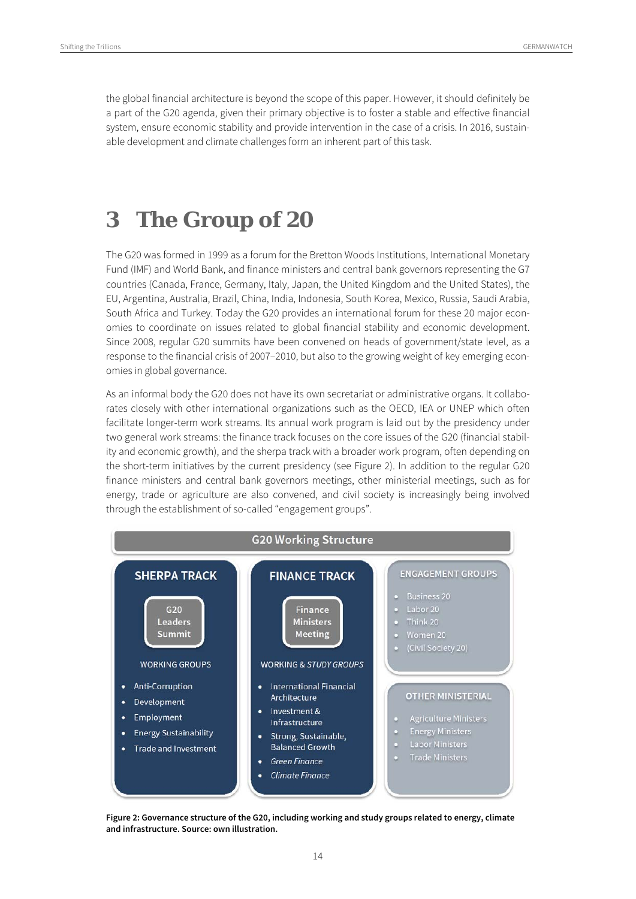the global financial architecture is beyond the scope of this paper. However, it should definitely be a part of the G20 agenda, given their primary objective is to foster a stable and effective financial system, ensure economic stability and provide intervention in the case of a crisis. In 2016, sustainable development and climate challenges form an inherent part of this task.

### **3 The Group of 20**

The G20 was formed in 1999 as a forum for the Bretton Woods Institutions, International Monetary Fund (IMF) and World Bank, and finance ministers and central bank governors representing the G7 countries (Canada, France, Germany, Italy, Japan, the United Kingdom and the United States), the EU, Argentina, Australia, Brazil, China, India, Indonesia, South Korea, Mexico, Russia, Saudi Arabia, South Africa and Turkey. Today the G20 provides an international forum for these 20 major economies to coordinate on issues related to global financial stability and economic development. Since 2008, regular G20 summits have been convened on heads of government/state level, as a response to the financial crisis of 2007–2010, but also to the growing weight of key emerging economies in global governance.

As an informal body the G20 does not have its own secretariat or administrative organs. It collaborates closely with other international organizations such as the OECD, IEA or UNEP which often facilitate longer-term work streams. Its annual work program is laid out by the presidency under two general work streams: the finance track focuses on the core issues of the G20 (financial stability and economic growth), and the sherpa track with a broader work program, often depending on the short-term initiatives by the current presidency (see Figure 2). In addition to the regular G20 finance ministers and central bank governors meetings, other ministerial meetings, such as for energy, trade or agriculture are also convened, and civil society is increasingly being involved through the establishment of so-called "engagement groups".



**Figure 2: Governance structure of the G20, including working and study groups related to energy, climate and infrastructure. Source: own illustration.**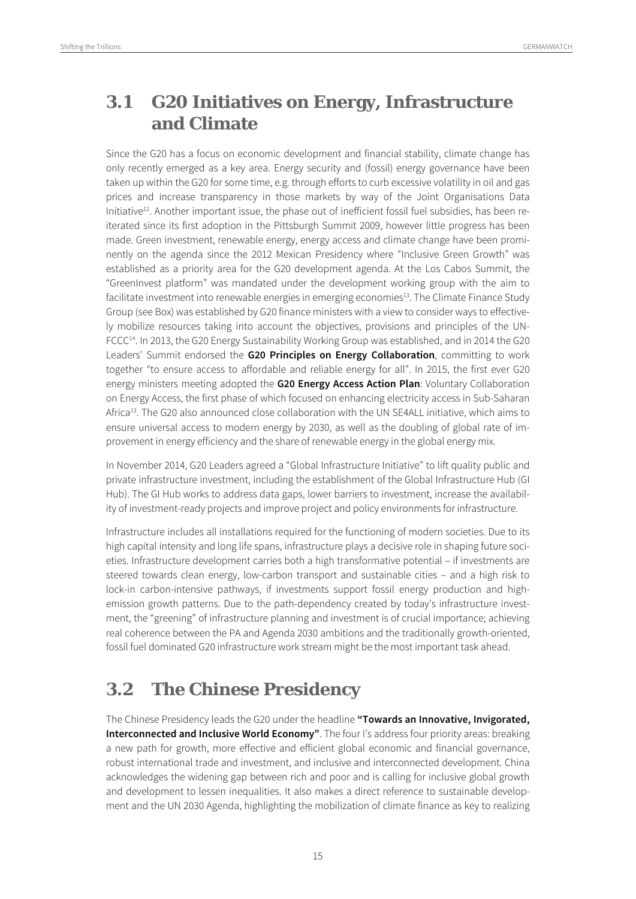### **3.1 G20 Initiatives on Energy, Infrastructure and Climate**

Since the G20 has a focus on economic development and financial stability, climate change has only recently emerged as a key area. Energy security and (fossil) energy governance have been taken up within the G20 for some time, e.g. through efforts to curb excessive volatility in oil and gas prices and increase transparency in those markets by way of the Joint Organisations Data Initiative<sup>12</sup>. Another important issue, the phase out of inefficient fossil fuel subsidies, has been reiterated since its first adoption in the Pittsburgh Summit 2009, however little progress has been made. Green investment, renewable energy, energy access and climate change have been prominently on the agenda since the 2012 Mexican Presidency where "Inclusive Green Growth" was established as a priority area for the G20 development agenda. At the Los Cabos Summit, the "GreenInvest platform" was mandated under the development working group with the aim to facilitate investment into renewable energies in emerging economies<sup>13</sup>. The Climate Finance Study Group (see Box) was established by G20 finance ministers with a view to consider ways to effectively mobilize resources taking into account the objectives, provisions and principles of the UN-FCCC14. In 2013, the G20 Energy Sustainability Working Group was established, and in 2014 the G20 Leaders' Summit endorsed the **G20 Principles on Energy Collaboration**, committing to work together "to ensure access to affordable and reliable energy for all". In 2015, the first ever G20 energy ministers meeting adopted the **G20 Energy Access Action Plan**: Voluntary Collaboration on Energy Access, the first phase of which focused on enhancing electricity access in Sub-Saharan Africa<sup>13</sup>. The G20 also announced close collaboration with the UN SE4ALL initiative, which aims to ensure universal access to modern energy by 2030, as well as the doubling of global rate of improvement in energy efficiency and the share of renewable energy in the global energy mix.

In November 2014, G20 Leaders agreed a "Global Infrastructure Initiative" to lift quality public and private infrastructure investment, including the establishment of the Global Infrastructure Hub (GI Hub). The GI Hub works to address data gaps, lower barriers to investment, increase the availability of investment-ready projects and improve project and policy environments for infrastructure.

Infrastructure includes all installations required for the functioning of modern societies. Due to its high capital intensity and long life spans, infrastructure plays a decisive role in shaping future societies. Infrastructure development carries both a high transformative potential – if investments are steered towards clean energy, low-carbon transport and sustainable cities – and a high risk to lock-in carbon-intensive pathways, if investments support fossil energy production and highemission growth patterns. Due to the path-dependency created by today's infrastructure investment, the "greening" of infrastructure planning and investment is of crucial importance; achieving real coherence between the PA and Agenda 2030 ambitions and the traditionally growth-oriented, fossil fuel dominated G20 infrastructure work stream might be the most important task ahead.

### **3.2 The Chinese Presidency**

The Chinese Presidency leads the G20 under the headline **"Towards an Innovative, Invigorated, Interconnected and Inclusive World Economy"**. The four I's address four priority areas: breaking a new path for growth, more effective and efficient global economic and financial governance, robust international trade and investment, and inclusive and interconnected development. China acknowledges the widening gap between rich and poor and is calling for inclusive global growth and development to lessen inequalities. It also makes a direct reference to sustainable development and the UN 2030 Agenda, highlighting the mobilization of climate finance as key to realizing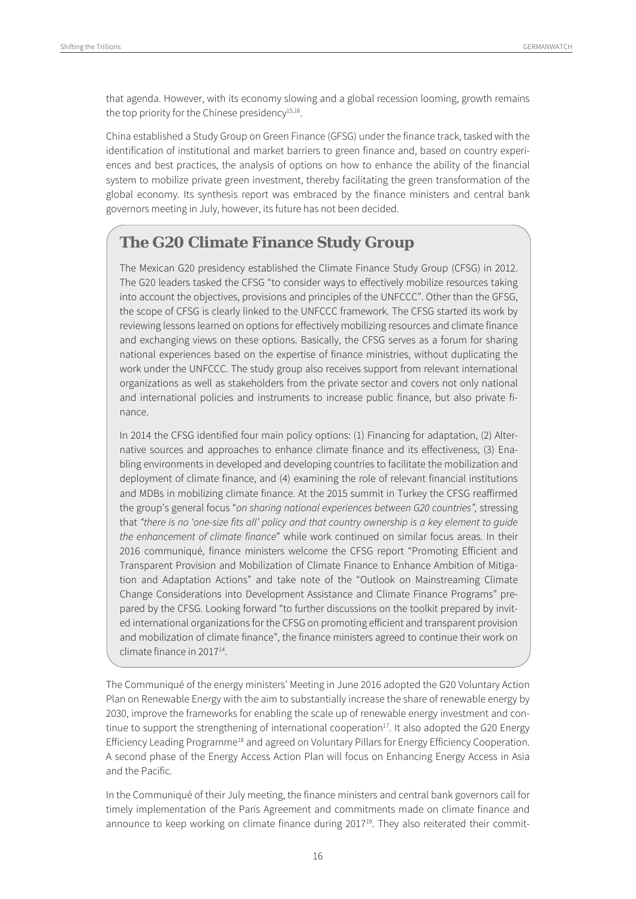that agenda. However, with its economy slowing and a global recession looming, growth remains the top priority for the Chinese presidency<sup>15,16</sup>.

China established a Study Group on Green Finance (GFSG) under the finance track, tasked with the identification of institutional and market barriers to green finance and, based on country experiences and best practices, the analysis of options on how to enhance the ability of the financial system to mobilize private green investment, thereby facilitating the green transformation of the global economy. Its synthesis report was embraced by the finance ministers and central bank governors meeting in July, however, its future has not been decided.

#### **The G20 Climate Finance Study Group**

The Mexican G20 presidency established the Climate Finance Study Group (CFSG) in 2012. The G20 leaders tasked the CFSG "to consider ways to effectively mobilize resources taking into account the objectives, provisions and principles of the UNFCCC". Other than the GFSG, the scope of CFSG is clearly linked to the UNFCCC framework. The CFSG started its work by reviewing lessons learned on options for effectively mobilizing resources and climate finance and exchanging views on these options. Basically, the CFSG serves as a forum for sharing national experiences based on the expertise of finance ministries, without duplicating the work under the UNFCCC. The study group also receives support from relevant international organizations as well as stakeholders from the private sector and covers not only national and international policies and instruments to increase public finance, but also private finance.

In 2014 the CFSG identified four main policy options: (1) Financing for adaptation, (2) Alternative sources and approaches to enhance climate finance and its effectiveness, (3) Enabling environments in developed and developing countries to facilitate the mobilization and deployment of climate finance, and (4) examining the role of relevant financial institutions and MDBs in mobilizing climate finance. At the 2015 summit in Turkey the CFSG reaffirmed the group's general focus "on sharing national experiences between G20 countries", stressing that "there is no 'one-size fits all' policy and that country ownership is a key element to guide the enhancement of climate finance" while work continued on similar focus areas. In their 2016 communiqué, finance ministers welcome the CFSG report "Promoting Efficient and Transparent Provision and Mobilization of Climate Finance to Enhance Ambition of Mitigation and Adaptation Actions" and take note of the "Outlook on Mainstreaming Climate Change Considerations into Development Assistance and Climate Finance Programs" prepared by the CFSG. Looking forward "to further discussions on the toolkit prepared by invited international organizations for the CFSG on promoting efficient and transparent provision and mobilization of climate finance", the finance ministers agreed to continue their work on climate finance in 201714.

The Communiqué of the energy ministers' Meeting in June 2016 adopted the G20 Voluntary Action Plan on Renewable Energy with the aim to substantially increase the share of renewable energy by 2030, improve the frameworks for enabling the scale up of renewable energy investment and continue to support the strengthening of international cooperation<sup>17</sup>. It also adopted the G20 Energy Efficiency Leading Programme18 and agreed on Voluntary Pillars for Energy Efficiency Cooperation. A second phase of the Energy Access Action Plan will focus on Enhancing Energy Access in Asia and the Pacific.

In the Communiqué of their July meeting, the finance ministers and central bank governors call for timely implementation of the Paris Agreement and commitments made on climate finance and announce to keep working on climate finance during 2017<sup>19</sup>. They also reiterated their commit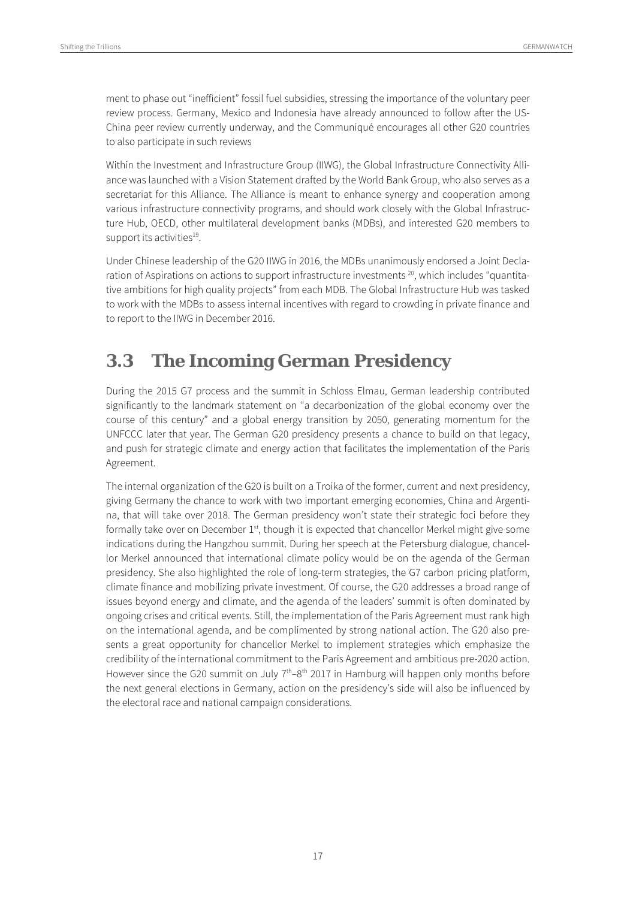ment to phase out "inefficient" fossil fuel subsidies, stressing the importance of the voluntary peer review process. Germany, Mexico and Indonesia have already announced to follow after the US-China peer review currently underway, and the Communiqué encourages all other G20 countries to also participate in such reviews

Within the Investment and Infrastructure Group (IIWG), the Global Infrastructure Connectivity Alliance was launched with a Vision Statement drafted by the World Bank Group, who also serves as a secretariat for this Alliance. The Alliance is meant to enhance synergy and cooperation among various infrastructure connectivity programs, and should work closely with the Global Infrastructure Hub, OECD, other multilateral development banks (MDBs), and interested G20 members to support its activities<sup>19</sup>.

Under Chinese leadership of the G20 IIWG in 2016, the MDBs unanimously endorsed a Joint Declaration of Aspirations on actions to support infrastructure investments<sup>20</sup>, which includes "quantitative ambitions for high quality projects" from each MDB. The Global Infrastructure Hub was tasked to work with the MDBs to assess internal incentives with regard to crowding in private finance and to report to the IIWG in December 2016.

### **3.3 The Incoming German Presidency**

During the 2015 G7 process and the summit in Schloss Elmau, German leadership contributed significantly to the landmark statement on "a decarbonization of the global economy over the course of this century" and a global energy transition by 2050, generating momentum for the UNFCCC later that year. The German G20 presidency presents a chance to build on that legacy, and push for strategic climate and energy action that facilitates the implementation of the Paris Agreement.

The internal organization of the G20 is built on a Troika of the former, current and next presidency, giving Germany the chance to work with two important emerging economies, China and Argentina, that will take over 2018. The German presidency won't state their strategic foci before they formally take over on December  $1<sup>st</sup>$ , though it is expected that chancellor Merkel might give some indications during the Hangzhou summit. During her speech at the Petersburg dialogue, chancellor Merkel announced that international climate policy would be on the agenda of the German presidency. She also highlighted the role of long-term strategies, the G7 carbon pricing platform, climate finance and mobilizing private investment. Of course, the G20 addresses a broad range of issues beyond energy and climate, and the agenda of the leaders' summit is often dominated by ongoing crises and critical events. Still, the implementation of the Paris Agreement must rank high on the international agenda, and be complimented by strong national action. The G20 also presents a great opportunity for chancellor Merkel to implement strategies which emphasize the credibility of the international commitment to the Paris Agreement and ambitious pre-2020 action. However since the G20 summit on July  $7<sup>th</sup>–8<sup>th</sup>$  2017 in Hamburg will happen only months before the next general elections in Germany, action on the presidency's side will also be influenced by the electoral race and national campaign considerations.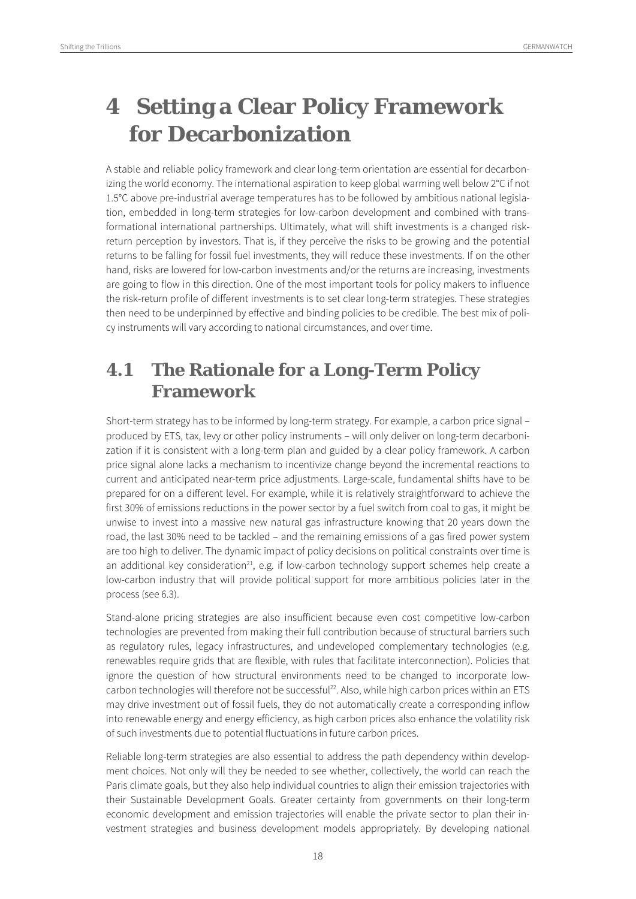## **4 Setting a Clear Policy Framework for Decarbonization**

A stable and reliable policy framework and clear long-term orientation are essential for decarbonizing the world economy. The international aspiration to keep global warming well below 2°C if not 1.5°C above pre-industrial average temperatures has to be followed by ambitious national legislation, embedded in long-term strategies for low-carbon development and combined with transformational international partnerships. Ultimately, what will shift investments is a changed riskreturn perception by investors. That is, if they perceive the risks to be growing and the potential returns to be falling for fossil fuel investments, they will reduce these investments. If on the other hand, risks are lowered for low-carbon investments and/or the returns are increasing, investments are going to flow in this direction. One of the most important tools for policy makers to influence the risk-return profile of different investments is to set clear long-term strategies. These strategies then need to be underpinned by effective and binding policies to be credible. The best mix of policy instruments will vary according to national circumstances, and over time.

### **4.1 The Rationale for a Long-Term Policy Framework**

Short-term strategy has to be informed by long-term strategy. For example, a carbon price signal – produced by ETS, tax, levy or other policy instruments – will only deliver on long-term decarbonization if it is consistent with a long-term plan and guided by a clear policy framework. A carbon price signal alone lacks a mechanism to incentivize change beyond the incremental reactions to current and anticipated near-term price adjustments. Large-scale, fundamental shifts have to be prepared for on a different level. For example, while it is relatively straightforward to achieve the first 30% of emissions reductions in the power sector by a fuel switch from coal to gas, it might be unwise to invest into a massive new natural gas infrastructure knowing that 20 years down the road, the last 30% need to be tackled – and the remaining emissions of a gas fired power system are too high to deliver. The dynamic impact of policy decisions on political constraints over time is an additional key consideration $^{21}$ , e.g. if low-carbon technology support schemes help create a low-carbon industry that will provide political support for more ambitious policies later in the process (see 6.3).

Stand-alone pricing strategies are also insufficient because even cost competitive low-carbon technologies are prevented from making their full contribution because of structural barriers such as regulatory rules, legacy infrastructures, and undeveloped complementary technologies (e.g. renewables require grids that are flexible, with rules that facilitate interconnection). Policies that ignore the question of how structural environments need to be changed to incorporate lowcarbon technologies will therefore not be successful<sup>22</sup>. Also, while high carbon prices within an ETS may drive investment out of fossil fuels, they do not automatically create a corresponding inflow into renewable energy and energy efficiency, as high carbon prices also enhance the volatility risk of such investments due to potential fluctuations in future carbon prices.

Reliable long-term strategies are also essential to address the path dependency within development choices. Not only will they be needed to see whether, collectively, the world can reach the Paris climate goals, but they also help individual countries to align their emission trajectories with their Sustainable Development Goals. Greater certainty from governments on their long-term economic development and emission trajectories will enable the private sector to plan their investment strategies and business development models appropriately. By developing national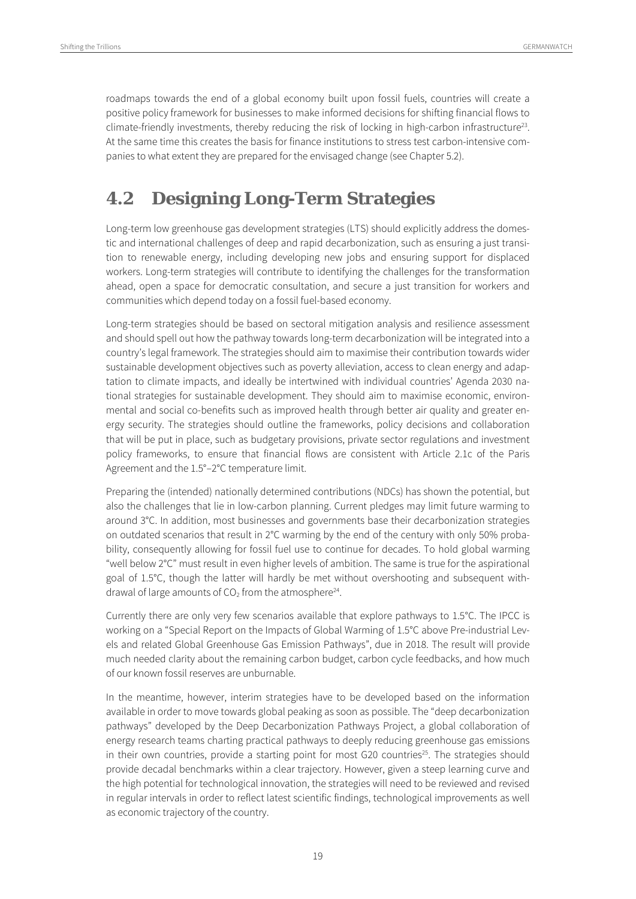roadmaps towards the end of a global economy built upon fossil fuels, countries will create a positive policy framework for businesses to make informed decisions for shifting financial flows to climate-friendly investments, thereby reducing the risk of locking in high-carbon infrastructure<sup>23</sup>. At the same time this creates the basis for finance institutions to stress test carbon-intensive companies to what extent they are prepared for the envisaged change (see Chapter 5.2).

### **4.2 Designing Long-Term Strategies**

Long-term low greenhouse gas development strategies (LTS) should explicitly address the domestic and international challenges of deep and rapid decarbonization, such as ensuring a just transition to renewable energy, including developing new jobs and ensuring support for displaced workers. Long-term strategies will contribute to identifying the challenges for the transformation ahead, open a space for democratic consultation, and secure a just transition for workers and communities which depend today on a fossil fuel-based economy.

Long-term strategies should be based on sectoral mitigation analysis and resilience assessment and should spell out how the pathway towards long-term decarbonization will be integrated into a country's legal framework. The strategies should aim to maximise their contribution towards wider sustainable development objectives such as poverty alleviation, access to clean energy and adaptation to climate impacts, and ideally be intertwined with individual countries' Agenda 2030 national strategies for sustainable development. They should aim to maximise economic, environmental and social co-benefits such as improved health through better air quality and greater energy security. The strategies should outline the frameworks, policy decisions and collaboration that will be put in place, such as budgetary provisions, private sector regulations and investment policy frameworks, to ensure that financial flows are consistent with Article 2.1c of the Paris Agreement and the 1.5°–2°C temperature limit.

Preparing the (intended) nationally determined contributions (NDCs) has shown the potential, but also the challenges that lie in low-carbon planning. Current pledges may limit future warming to around 3°C. In addition, most businesses and governments base their decarbonization strategies on outdated scenarios that result in 2°C warming by the end of the century with only 50% probability, consequently allowing for fossil fuel use to continue for decades. To hold global warming "well below  $2^{\circ}$ C" must result in even higher levels of ambition. The same is true for the aspirational goal of 1.5°C, though the latter will hardly be met without overshooting and subsequent withdrawal of large amounts of  $CO<sub>2</sub>$  from the atmosphere<sup>24</sup>.

Currently there are only very few scenarios available that explore pathways to 1.5°C. The IPCC is working on a "Special Report on the Impacts of Global Warming of 1.5°C above Pre-industrial Levels and related Global Greenhouse Gas Emission Pathways", due in 2018. The result will provide much needed clarity about the remaining carbon budget, carbon cycle feedbacks, and how much of our known fossil reserves are unburnable.

In the meantime, however, interim strategies have to be developed based on the information available in order to move towards global peaking as soon as possible. The "deep decarbonization pathways" developed by the Deep Decarbonization Pathways Project, a global collaboration of energy research teams charting practical pathways to deeply reducing greenhouse gas emissions in their own countries, provide a starting point for most G20 countries<sup>25</sup>. The strategies should provide decadal benchmarks within a clear trajectory. However, given a steep learning curve and the high potential for technological innovation, the strategies will need to be reviewed and revised in regular intervals in order to reflect latest scientific findings, technological improvements as well as economic trajectory of the country.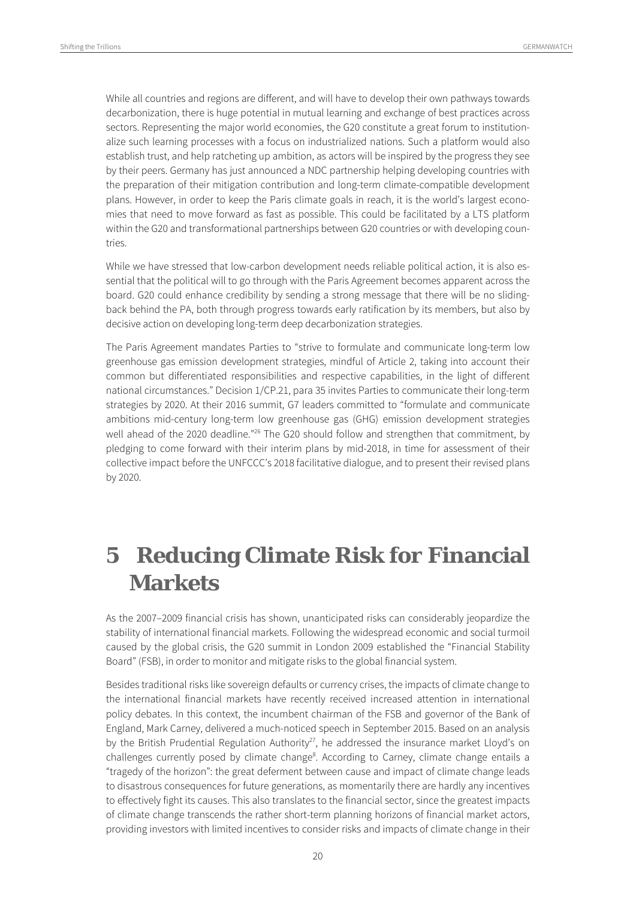While all countries and regions are different, and will have to develop their own pathways towards decarbonization, there is huge potential in mutual learning and exchange of best practices across sectors. Representing the major world economies, the G20 constitute a great forum to institutionalize such learning processes with a focus on industrialized nations. Such a platform would also establish trust, and help ratcheting up ambition, as actors will be inspired by the progress they see by their peers. Germany has just announced a NDC partnership helping developing countries with the preparation of their mitigation contribution and long-term climate-compatible development plans. However, in order to keep the Paris climate goals in reach, it is the world's largest economies that need to move forward as fast as possible. This could be facilitated by a LTS platform within the G20 and transformational partnerships between G20 countries or with developing countries.

While we have stressed that low-carbon development needs reliable political action, it is also essential that the political will to go through with the Paris Agreement becomes apparent across the board. G20 could enhance credibility by sending a strong message that there will be no slidingback behind the PA, both through progress towards early ratification by its members, but also by decisive action on developing long-term deep decarbonization strategies.

The Paris Agreement mandates Parties to "strive to formulate and communicate long-term low greenhouse gas emission development strategies, mindful of Article 2, taking into account their common but differentiated responsibilities and respective capabilities, in the light of different national circumstances." Decision 1/CP.21, para 35 invites Parties to communicate their long-term strategies by 2020. At their 2016 summit, G7 leaders committed to "formulate and communicate ambitions mid-century long-term low greenhouse gas (GHG) emission development strategies well ahead of the 2020 deadline."<sup>26</sup> The G20 should follow and strengthen that commitment, by pledging to come forward with their interim plans by mid-2018, in time for assessment of their collective impact before the UNFCCC's 2018 facilitative dialogue, and to present their revised plans by 2020.

## **5 Reducing Climate Risk for Financial Markets**

As the 2007–2009 financial crisis has shown, unanticipated risks can considerably jeopardize the stability of international financial markets. Following the widespread economic and social turmoil caused by the global crisis, the G20 summit in London 2009 established the "Financial Stability Board" (FSB), in order to monitor and mitigate risks to the global financial system.

Besides traditional risks like sovereign defaults or currency crises, the impacts of climate change to the international financial markets have recently received increased attention in international policy debates. In this context, the incumbent chairman of the FSB and governor of the Bank of England, Mark Carney, delivered a much-noticed speech in September 2015. Based on an analysis by the British Prudential Regulation Authority<sup>27</sup>, he addressed the insurance market Lloyd's on challenges currently posed by climate change<sup>8</sup>. According to Carney, climate change entails a "tragedy of the horizon": the great deferment between cause and impact of climate change leads to disastrous consequences for future generations, as momentarily there are hardly any incentives to effectively fight its causes. This also translates to the financial sector, since the greatest impacts of climate change transcends the rather short-term planning horizons of financial market actors, providing investors with limited incentives to consider risks and impacts of climate change in their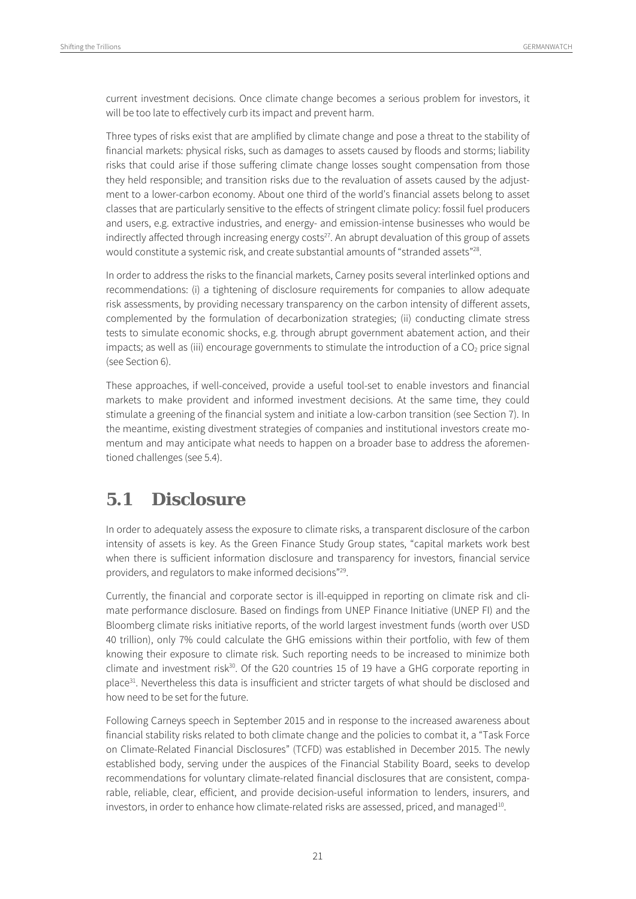current investment decisions. Once climate change becomes a serious problem for investors, it will be too late to effectively curb its impact and prevent harm.

Three types of risks exist that are amplified by climate change and pose a threat to the stability of financial markets: physical risks, such as damages to assets caused by floods and storms; liability risks that could arise if those suffering climate change losses sought compensation from those they held responsible; and transition risks due to the revaluation of assets caused by the adjustment to a lower-carbon economy. About one third of the world's financial assets belong to asset classes that are particularly sensitive to the effects of stringent climate policy: fossil fuel producers and users, e.g. extractive industries, and energy- and emission-intense businesses who would be indirectly affected through increasing energy costs<sup>27</sup>. An abrupt devaluation of this group of assets would constitute a systemic risk, and create substantial amounts of "stranded assets"<sup>28</sup>.

In order to address the risks to the financial markets, Carney posits several interlinked options and recommendations: (i) a tightening of disclosure requirements for companies to allow adequate risk assessments, by providing necessary transparency on the carbon intensity of different assets, complemented by the formulation of decarbonization strategies; (ii) conducting climate stress tests to simulate economic shocks, e.g. through abrupt government abatement action, and their impacts; as well as (iii) encourage governments to stimulate the introduction of a  $CO<sub>2</sub>$  price signal (see Section 6).

These approaches, if well-conceived, provide a useful tool-set to enable investors and financial markets to make provident and informed investment decisions. At the same time, they could stimulate a greening of the financial system and initiate a low-carbon transition (see Section 7). In the meantime, existing divestment strategies of companies and institutional investors create momentum and may anticipate what needs to happen on a broader base to address the aforementioned challenges (see 5.4).

#### **5.1 Disclosure**

In order to adequately assess the exposure to climate risks, a transparent disclosure of the carbon intensity of assets is key. As the Green Finance Study Group states, "capital markets work best when there is sufficient information disclosure and transparency for investors, financial service providers, and regulators to make informed decisions"29.

Currently, the financial and corporate sector is ill-equipped in reporting on climate risk and climate performance disclosure. Based on findings from UNEP Finance Initiative (UNEP FI) and the Bloomberg climate risks initiative reports, of the world largest investment funds (worth over USD 40 trillion), only 7% could calculate the GHG emissions within their portfolio, with few of them knowing their exposure to climate risk. Such reporting needs to be increased to minimize both climate and investment risk $30$ . Of the G20 countries 15 of 19 have a GHG corporate reporting in place<sup>31</sup>. Nevertheless this data is insufficient and stricter targets of what should be disclosed and how need to be set for the future.

Following Carneys speech in September 2015 and in response to the increased awareness about financial stability risks related to both climate change and the policies to combat it, a "Task Force on Climate-Related Financial Disclosures" (TCFD) was established in December 2015. The newly established body, serving under the auspices of the Financial Stability Board, seeks to develop recommendations for voluntary climate-related financial disclosures that are consistent, comparable, reliable, clear, efficient, and provide decision-useful information to lenders, insurers, and investors, in order to enhance how climate-related risks are assessed, priced, and managed<sup>10</sup>.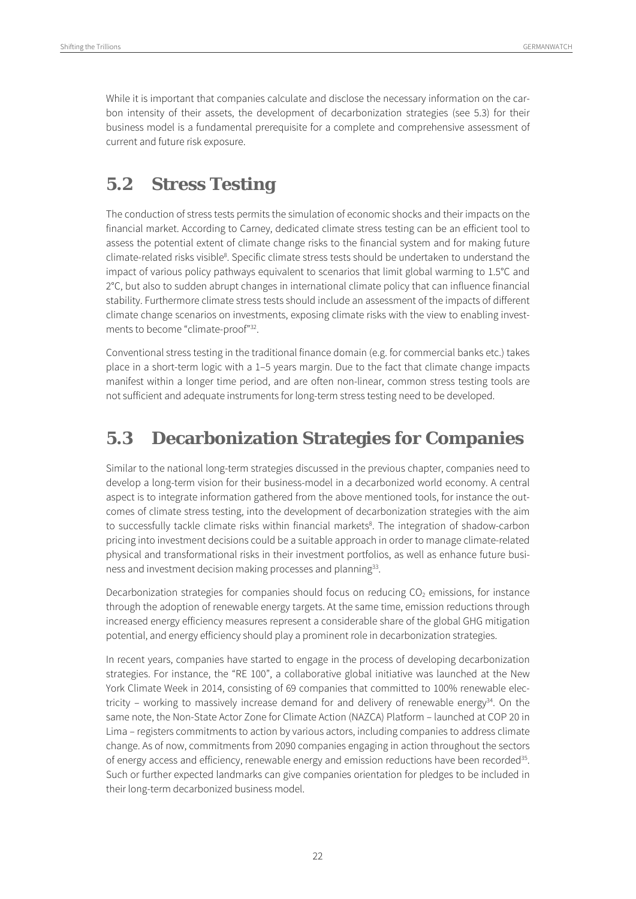While it is important that companies calculate and disclose the necessary information on the carbon intensity of their assets, the development of decarbonization strategies (see 5.3) for their business model is a fundamental prerequisite for a complete and comprehensive assessment of current and future risk exposure.

#### **5.2 Stress Testing**

The conduction of stress tests permits the simulation of economic shocks and their impacts on the financial market. According to Carney, dedicated climate stress testing can be an efficient tool to assess the potential extent of climate change risks to the financial system and for making future climate-related risks visible<sup>8</sup>. Specific climate stress tests should be undertaken to understand the impact of various policy pathways equivalent to scenarios that limit global warming to 1.5°C and 2°C, but also to sudden abrupt changes in international climate policy that can influence financial stability. Furthermore climate stress tests should include an assessment of the impacts of different climate change scenarios on investments, exposing climate risks with the view to enabling investments to become "climate-proof"32.

Conventional stress testing in the traditional finance domain (e.g. for commercial banks etc.) takes place in a short-term logic with a 1–5 years margin. Due to the fact that climate change impacts manifest within a longer time period, and are often non-linear, common stress testing tools are not sufficient and adequate instruments for long-term stress testing need to be developed.

#### **5.3 Decarbonization Strategies for Companies**

Similar to the national long-term strategies discussed in the previous chapter, companies need to develop a long-term vision for their business-model in a decarbonized world economy. A central aspect is to integrate information gathered from the above mentioned tools, for instance the outcomes of climate stress testing, into the development of decarbonization strategies with the aim to successfully tackle climate risks within financial markets<sup>8</sup>. The integration of shadow-carbon pricing into investment decisions could be a suitable approach in order to manage climate-related physical and transformational risks in their investment portfolios, as well as enhance future business and investment decision making processes and planning<sup>33</sup>.

Decarbonization strategies for companies should focus on reducing  $CO<sub>2</sub>$  emissions, for instance through the adoption of renewable energy targets. At the same time, emission reductions through increased energy efficiency measures represent a considerable share of the global GHG mitigation potential, and energy efficiency should play a prominent role in decarbonization strategies.

In recent years, companies have started to engage in the process of developing decarbonization strategies. For instance, the "RE 100", a collaborative global initiative was launched at the New York Climate Week in 2014, consisting of 69 companies that committed to 100% renewable electricity – working to massively increase demand for and delivery of renewable energy $34$ . On the same note, the Non-State Actor Zone for Climate Action (NAZCA) Platform – launched at COP 20 in Lima – registers commitments to action by various actors, including companies to address climate change. As of now, commitments from 2090 companies engaging in action throughout the sectors of energy access and efficiency, renewable energy and emission reductions have been recorded<sup>35</sup>. Such or further expected landmarks can give companies orientation for pledges to be included in their long-term decarbonized business model.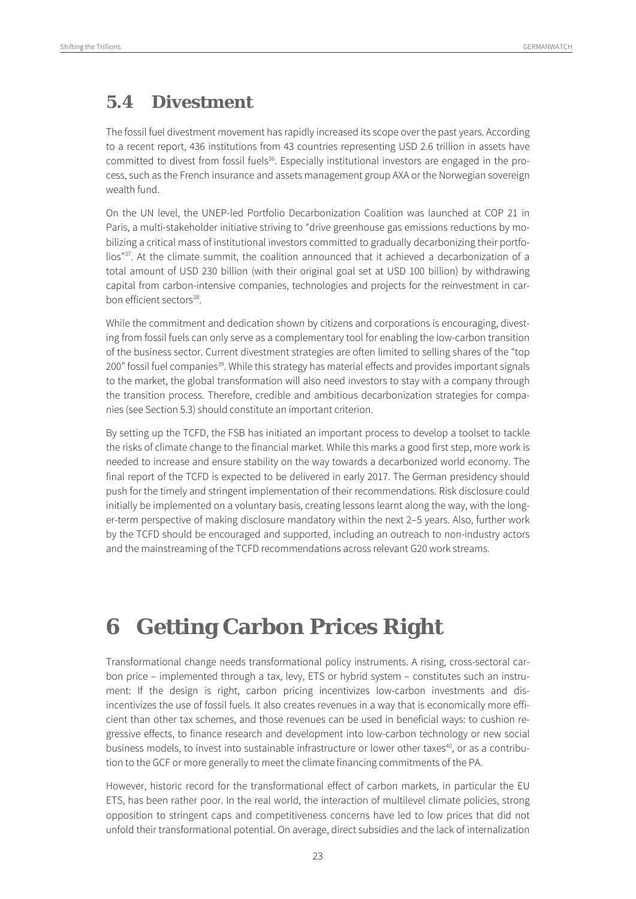### **5.4 Divestment**

The fossil fuel divestment movement has rapidly increased its scope over the past years. According to a recent report, 436 institutions from 43 countries representing USD 2.6 trillion in assets have committed to divest from fossil fuels<sup>36</sup>. Especially institutional investors are engaged in the process, such as the French insurance and assets management group AXA or the Norwegian sovereign wealth fund.

On the UN level, the UNEP-led Portfolio Decarbonization Coalition was launched at COP 21 in Paris, a multi-stakeholder initiative striving to "drive greenhouse gas emissions reductions by mobilizing a critical mass of institutional investors committed to gradually decarbonizing their portfolios"37. At the climate summit, the coalition announced that it achieved a decarbonization of a total amount of USD 230 billion (with their original goal set at USD 100 billion) by withdrawing capital from carbon-intensive companies, technologies and projects for the reinvestment in carbon efficient sectors<sup>38</sup>.

While the commitment and dedication shown by citizens and corporations is encouraging, divesting from fossil fuels can only serve as a complementary tool for enabling the low-carbon transition of the business sector. Current divestment strategies are often limited to selling shares of the "top 200" fossil fuel companies<sup>39</sup>. While this strategy has material effects and provides important signals to the market, the global transformation will also need investors to stay with a company through the transition process. Therefore, credible and ambitious decarbonization strategies for companies (see Section 5.3) should constitute an important criterion.

By setting up the TCFD, the FSB has initiated an important process to develop a toolset to tackle the risks of climate change to the financial market. While this marks a good first step, more work is needed to increase and ensure stability on the way towards a decarbonized world economy. The final report of the TCFD is expected to be delivered in early 2017. The German presidency should push for the timely and stringent implementation of their recommendations. Risk disclosure could initially be implemented on a voluntary basis, creating lessons learnt along the way, with the longer-term perspective of making disclosure mandatory within the next 2–5 years. Also, further work by the TCFD should be encouraged and supported, including an outreach to non-industry actors and the mainstreaming of the TCFD recommendations across relevant G20 work streams.

## **6 Getting Carbon Prices Right**

Transformational change needs transformational policy instruments. A rising, cross-sectoral carbon price – implemented through a tax, levy, ETS or hybrid system – constitutes such an instrument: If the design is right, carbon pricing incentivizes low-carbon investments and disincentivizes the use of fossil fuels. It also creates revenues in a way that is economically more efficient than other tax schemes, and those revenues can be used in beneficial ways: to cushion regressive effects, to finance research and development into low-carbon technology or new social business models, to invest into sustainable infrastructure or lower other taxes<sup>40</sup>, or as a contribution to the GCF or more generally to meet the climate financing commitments of the PA.

However, historic record for the transformational effect of carbon markets, in particular the EU ETS, has been rather poor. In the real world, the interaction of multilevel climate policies, strong opposition to stringent caps and competitiveness concerns have led to low prices that did not unfold their transformational potential. On average, direct subsidies and the lack of internalization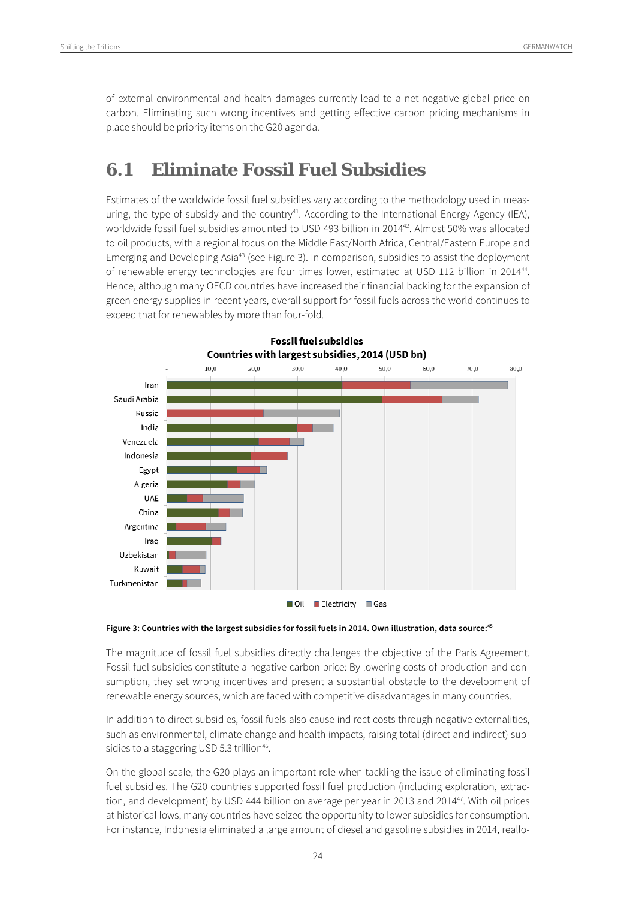of external environmental and health damages currently lead to a net-negative global price on carbon. Eliminating such wrong incentives and getting effective carbon pricing mechanisms in place should be priority items on the G20 agenda.

#### **6.1 Eliminate Fossil Fuel Subsidies**

Estimates of the worldwide fossil fuel subsidies vary according to the methodology used in measuring, the type of subsidy and the country<sup>41</sup>. According to the International Energy Agency (IEA), worldwide fossil fuel subsidies amounted to USD 493 billion in 2014<sup>42</sup>. Almost 50% was allocated to oil products, with a regional focus on the Middle East/North Africa, Central/Eastern Europe and Emerging and Developing Asia43 (see Figure 3). In comparison, subsidies to assist the deployment of renewable energy technologies are four times lower, estimated at USD 112 billion in 2014<sup>44</sup>. Hence, although many OECD countries have increased their financial backing for the expansion of green energy supplies in recent years, overall support for fossil fuels across the world continues to exceed that for renewables by more than four-fold.



 $\blacksquare$  Oil  $\blacksquare$  Electricity  $\blacksquare$  Gas

#### **Figure 3: Countries with the largest subsidies for fossil fuels in 2014. Own illustration, data source:45**

The magnitude of fossil fuel subsidies directly challenges the objective of the Paris Agreement. Fossil fuel subsidies constitute a negative carbon price: By lowering costs of production and consumption, they set wrong incentives and present a substantial obstacle to the development of renewable energy sources, which are faced with competitive disadvantages in many countries.

In addition to direct subsidies, fossil fuels also cause indirect costs through negative externalities, such as environmental, climate change and health impacts, raising total (direct and indirect) subsidies to a staggering USD 5.3 trillion<sup>46</sup>.

On the global scale, the G20 plays an important role when tackling the issue of eliminating fossil fuel subsidies. The G20 countries supported fossil fuel production (including exploration, extraction, and development) by USD 444 billion on average per year in 2013 and 201447. With oil prices at historical lows, many countries have seized the opportunity to lower subsidies for consumption. For instance, Indonesia eliminated a large amount of diesel and gasoline subsidies in 2014, reallo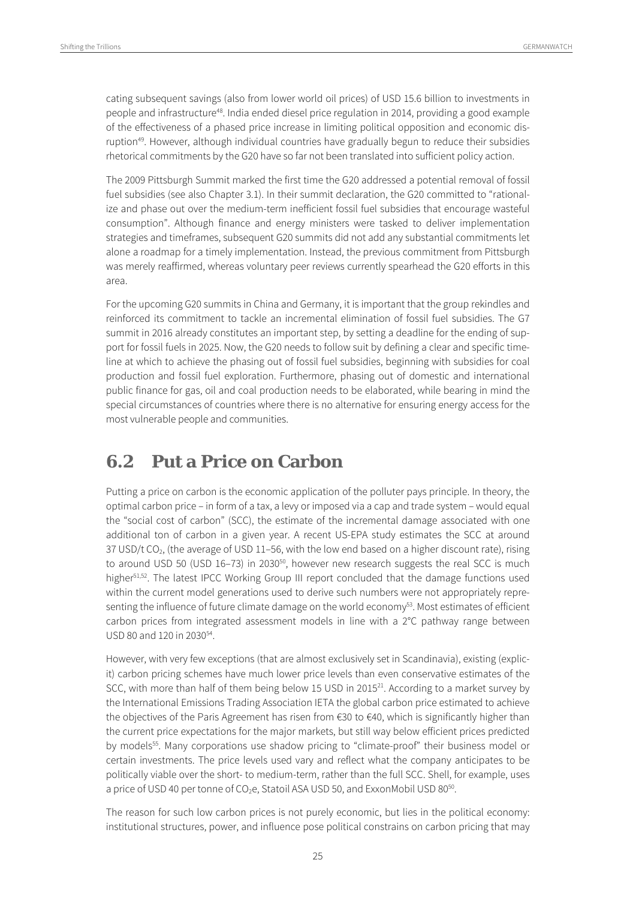cating subsequent savings (also from lower world oil prices) of USD 15.6 billion to investments in people and infrastructure<sup>48</sup>. India ended diesel price regulation in 2014, providing a good example of the effectiveness of a phased price increase in limiting political opposition and economic disruption<sup>49</sup>. However, although individual countries have gradually begun to reduce their subsidies rhetorical commitments by the G20 have so far not been translated into sufficient policy action.

The 2009 Pittsburgh Summit marked the first time the G20 addressed a potential removal of fossil fuel subsidies (see also Chapter 3.1). In their summit declaration, the G20 committed to "rationalize and phase out over the medium-term inefficient fossil fuel subsidies that encourage wasteful consumption". Although finance and energy ministers were tasked to deliver implementation strategies and timeframes, subsequent G20 summits did not add any substantial commitments let alone a roadmap for a timely implementation. Instead, the previous commitment from Pittsburgh was merely reaffirmed, whereas voluntary peer reviews currently spearhead the G20 efforts in this area.

For the upcoming G20 summits in China and Germany, it is important that the group rekindles and reinforced its commitment to tackle an incremental elimination of fossil fuel subsidies. The G7 summit in 2016 already constitutes an important step, by setting a deadline for the ending of support for fossil fuels in 2025. Now, the G20 needs to follow suit by defining a clear and specific timeline at which to achieve the phasing out of fossil fuel subsidies, beginning with subsidies for coal production and fossil fuel exploration. Furthermore, phasing out of domestic and international public finance for gas, oil and coal production needs to be elaborated, while bearing in mind the special circumstances of countries where there is no alternative for ensuring energy access for the most vulnerable people and communities.

#### **6.2 Put a Price on Carbon**

Putting a price on carbon is the economic application of the polluter pays principle. In theory, the optimal carbon price – in form of a tax, a levy or imposed via a cap and trade system – would equal the "social cost of carbon" (SCC), the estimate of the incremental damage associated with one additional ton of carbon in a given year. A recent US-EPA study estimates the SCC at around 37 USD/t CO<sub>2</sub>, (the average of USD 11-56, with the low end based on a higher discount rate), rising to around USD 50 (USD 16-73) in 2030<sup>50</sup>, however new research suggests the real SCC is much higher<sup>51,52</sup>. The latest IPCC Working Group III report concluded that the damage functions used within the current model generations used to derive such numbers were not appropriately representing the influence of future climate damage on the world economy<sup>53</sup>. Most estimates of efficient carbon prices from integrated assessment models in line with a 2°C pathway range between USD 80 and 120 in 2030<sup>54</sup>.

However, with very few exceptions (that are almost exclusively set in Scandinavia), existing (explicit) carbon pricing schemes have much lower price levels than even conservative estimates of the SCC, with more than half of them being below 15 USD in 2015 $^{21}$ . According to a market survey by the International Emissions Trading Association IETA the global carbon price estimated to achieve the objectives of the Paris Agreement has risen from  $\epsilon$ 30 to  $\epsilon$ 40, which is significantly higher than the current price expectations for the major markets, but still way below efficient prices predicted by models<sup>55</sup>. Many corporations use shadow pricing to "climate-proof" their business model or certain investments. The price levels used vary and reflect what the company anticipates to be politically viable over the short- to medium-term, rather than the full SCC. Shell, for example, uses a price of USD 40 per tonne of CO<sub>2</sub>e, Statoil ASA USD 50, and ExxonMobil USD 80<sup>50</sup>.

The reason for such low carbon prices is not purely economic, but lies in the political economy: institutional structures, power, and influence pose political constrains on carbon pricing that may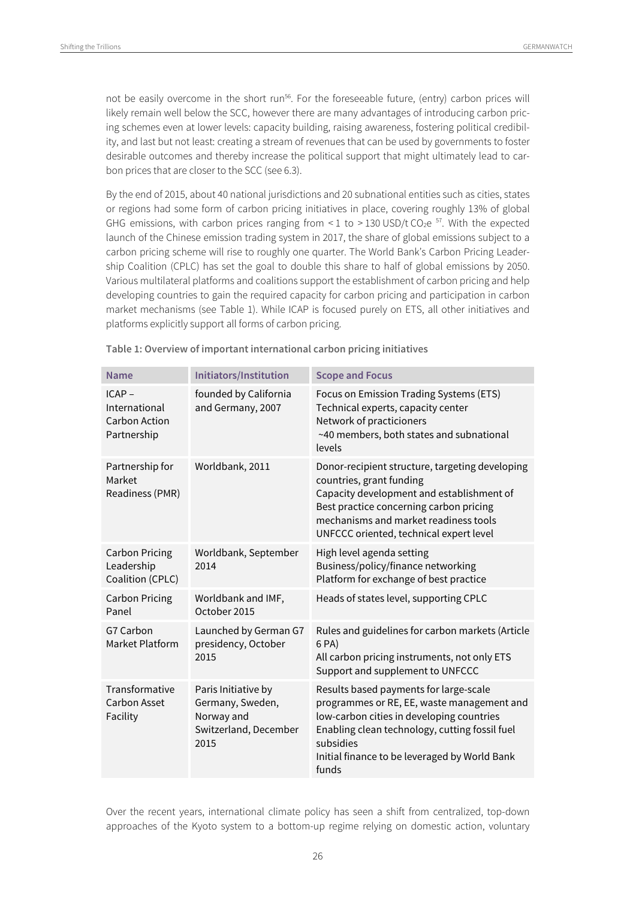not be easily overcome in the short run<sup>56</sup>. For the foreseeable future, (entry) carbon prices will likely remain well below the SCC, however there are many advantages of introducing carbon pricing schemes even at lower levels: capacity building, raising awareness, fostering political credibility, and last but not least: creating a stream of revenues that can be used by governments to foster desirable outcomes and thereby increase the political support that might ultimately lead to carbon prices that are closer to the SCC (see 6.3).

By the end of 2015, about 40 national jurisdictions and 20 subnational entities such as cities, states or regions had some form of carbon pricing initiatives in place, covering roughly 13% of global GHG emissions, with carbon prices ranging from < 1 to > 130 USD/t CO<sub>2</sub>e  $^{57}$ . With the expected launch of the Chinese emission trading system in 2017, the share of global emissions subject to a carbon pricing scheme will rise to roughly one quarter. The World Bank's Carbon Pricing Leadership Coalition (CPLC) has set the goal to double this share to half of global emissions by 2050. Various multilateral platforms and coalitions support the establishment of carbon pricing and help developing countries to gain the required capacity for carbon pricing and participation in carbon market mechanisms (see Table 1). While ICAP is focused purely on ETS, all other initiatives and platforms explicitly support all forms of carbon pricing.

| <b>Name</b>                                             | Initiators/Institution                                                                 | <b>Scope and Focus</b>                                                                                                                                                                                                                                     |
|---------------------------------------------------------|----------------------------------------------------------------------------------------|------------------------------------------------------------------------------------------------------------------------------------------------------------------------------------------------------------------------------------------------------------|
| ICAP-<br>International<br>Carbon Action<br>Partnership  | founded by California<br>and Germany, 2007                                             | Focus on Emission Trading Systems (ETS)<br>Technical experts, capacity center<br>Network of practicioners<br>~40 members, both states and subnational<br>levels                                                                                            |
| Partnership for<br>Market<br>Readiness (PMR)            | Worldbank, 2011                                                                        | Donor-recipient structure, targeting developing<br>countries, grant funding<br>Capacity development and establishment of<br>Best practice concerning carbon pricing<br>mechanisms and market readiness tools<br>UNFCCC oriented, technical expert level    |
| <b>Carbon Pricing</b><br>Leadership<br>Coalition (CPLC) | Worldbank, September<br>2014                                                           | High level agenda setting<br>Business/policy/finance networking<br>Platform for exchange of best practice                                                                                                                                                  |
| <b>Carbon Pricing</b><br>Panel                          | Worldbank and IMF,<br>October 2015                                                     | Heads of states level, supporting CPLC                                                                                                                                                                                                                     |
| G7 Carbon<br>Market Platform                            | Launched by German G7<br>presidency, October<br>2015                                   | Rules and guidelines for carbon markets (Article<br>6 PA)<br>All carbon pricing instruments, not only ETS<br>Support and supplement to UNFCCC                                                                                                              |
| Transformative<br>Carbon Asset<br>Facility              | Paris Initiative by<br>Germany, Sweden,<br>Norway and<br>Switzerland, December<br>2015 | Results based payments for large-scale<br>programmes or RE, EE, waste management and<br>low-carbon cities in developing countries<br>Enabling clean technology, cutting fossil fuel<br>subsidies<br>Initial finance to be leveraged by World Bank<br>funds |

**Table 1: Overview of important international carbon pricing initiatives** 

Over the recent years, international climate policy has seen a shift from centralized, top-down approaches of the Kyoto system to a bottom-up regime relying on domestic action, voluntary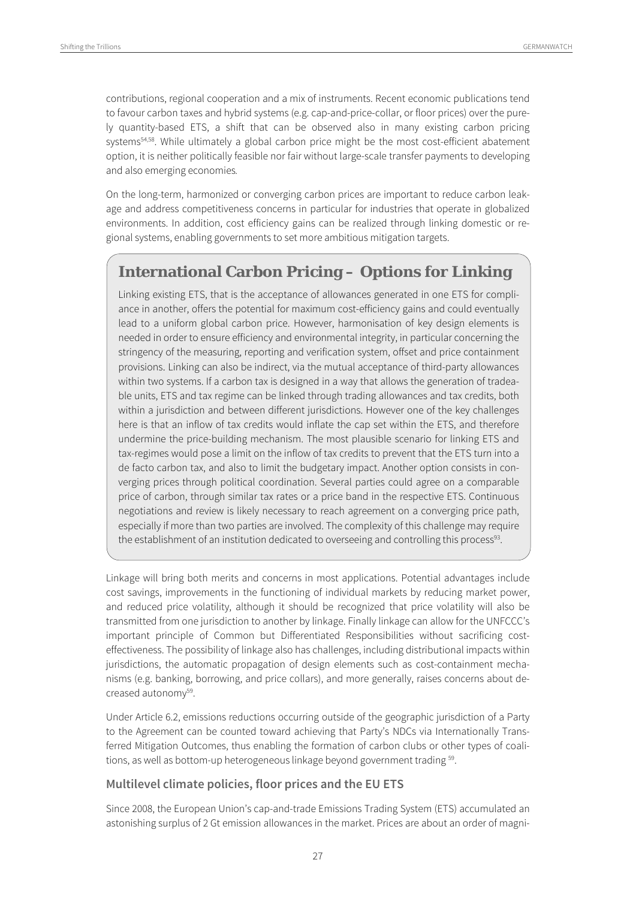contributions, regional cooperation and a mix of instruments. Recent economic publications tend to favour carbon taxes and hybrid systems (e.g. cap-and-price-collar, or floor prices) over the purely quantity-based ETS, a shift that can be observed also in many existing carbon pricing systems<sup>54,58</sup>. While ultimately a global carbon price might be the most cost-efficient abatement option, it is neither politically feasible nor fair without large-scale transfer payments to developing and also emerging economies.

On the long-term, harmonized or converging carbon prices are important to reduce carbon leakage and address competitiveness concerns in particular for industries that operate in globalized environments. In addition, cost efficiency gains can be realized through linking domestic or regional systems, enabling governments to set more ambitious mitigation targets.

#### **International Carbon Pricing – Options for Linking**

Linking existing ETS, that is the acceptance of allowances generated in one ETS for compliance in another, offers the potential for maximum cost-efficiency gains and could eventually lead to a uniform global carbon price. However, harmonisation of key design elements is needed in order to ensure efficiency and environmental integrity, in particular concerning the stringency of the measuring, reporting and verification system, offset and price containment provisions. Linking can also be indirect, via the mutual acceptance of third-party allowances within two systems. If a carbon tax is designed in a way that allows the generation of tradeable units, ETS and tax regime can be linked through trading allowances and tax credits, both within a jurisdiction and between different jurisdictions. However one of the key challenges here is that an inflow of tax credits would inflate the cap set within the ETS, and therefore undermine the price-building mechanism. The most plausible scenario for linking ETS and tax-regimes would pose a limit on the inflow of tax credits to prevent that the ETS turn into a de facto carbon tax, and also to limit the budgetary impact. Another option consists in converging prices through political coordination. Several parties could agree on a comparable price of carbon, through similar tax rates or a price band in the respective ETS. Continuous negotiations and review is likely necessary to reach agreement on a converging price path, especially if more than two parties are involved. The complexity of this challenge may require the establishment of an institution dedicated to overseeing and controlling this process $93$ .

Linkage will bring both merits and concerns in most applications. Potential advantages include cost savings, improvements in the functioning of individual markets by reducing market power, and reduced price volatility, although it should be recognized that price volatility will also be transmitted from one jurisdiction to another by linkage. Finally linkage can allow for the UNFCCC's important principle of Common but Differentiated Responsibilities without sacrificing costeffectiveness. The possibility of linkage also has challenges, including distributional impacts within jurisdictions, the automatic propagation of design elements such as cost-containment mechanisms (e.g. banking, borrowing, and price collars), and more generally, raises concerns about decreased autonomy<sup>59</sup>.

Under Article 6.2, emissions reductions occurring outside of the geographic jurisdiction of a Party to the Agreement can be counted toward achieving that Party's NDCs via Internationally Transferred Mitigation Outcomes, thus enabling the formation of carbon clubs or other types of coalitions, as well as bottom-up heterogeneous linkage beyond government trading <sup>59</sup>.

#### **Multilevel climate policies, floor prices and the EU ETS**

Since 2008, the European Union's cap-and-trade Emissions Trading System (ETS) accumulated an astonishing surplus of 2 Gt emission allowances in the market. Prices are about an order of magni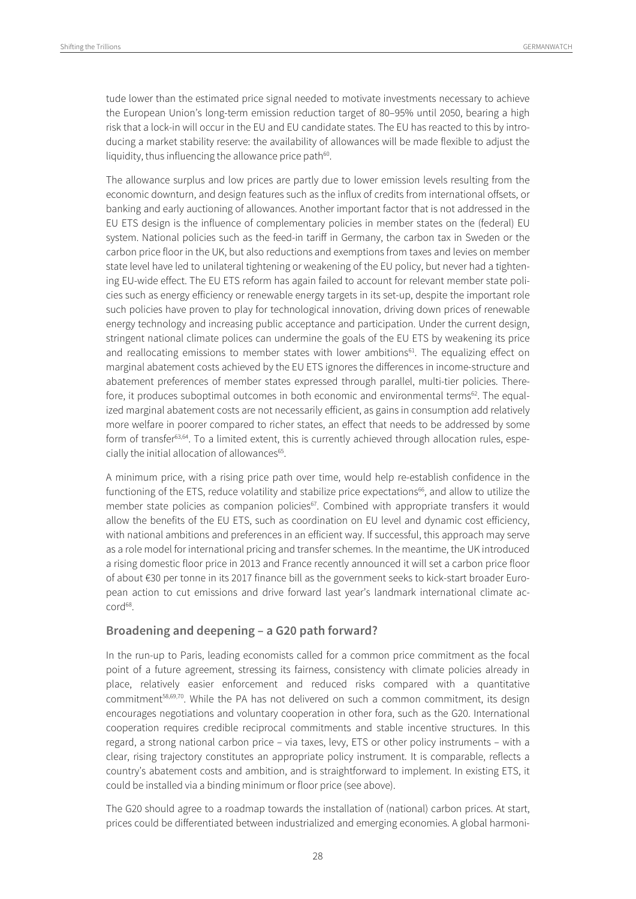tude lower than the estimated price signal needed to motivate investments necessary to achieve the European Union's long-term emission reduction target of 80–95% until 2050, bearing a high risk that a lock-in will occur in the EU and EU candidate states. The EU has reacted to this by introducing a market stability reserve: the availability of allowances will be made flexible to adjust the liquidity, thus influencing the allowance price path<sup>60</sup>.

The allowance surplus and low prices are partly due to lower emission levels resulting from the economic downturn, and design features such as the influx of credits from international offsets, or banking and early auctioning of allowances. Another important factor that is not addressed in the EU ETS design is the influence of complementary policies in member states on the (federal) EU system. National policies such as the feed-in tariff in Germany, the carbon tax in Sweden or the carbon price floor in the UK, but also reductions and exemptions from taxes and levies on member state level have led to unilateral tightening or weakening of the EU policy, but never had a tightening EU-wide effect. The EU ETS reform has again failed to account for relevant member state policies such as energy efficiency or renewable energy targets in its set-up, despite the important role such policies have proven to play for technological innovation, driving down prices of renewable energy technology and increasing public acceptance and participation. Under the current design, stringent national climate polices can undermine the goals of the EU ETS by weakening its price and reallocating emissions to member states with lower ambitions<sup>61</sup>. The equalizing effect on marginal abatement costs achieved by the EU ETS ignores the differences in income-structure and abatement preferences of member states expressed through parallel, multi-tier policies. Therefore, it produces suboptimal outcomes in both economic and environmental terms<sup>62</sup>. The equalized marginal abatement costs are not necessarily efficient, as gains in consumption add relatively more welfare in poorer compared to richer states, an effect that needs to be addressed by some form of transfer63,64. To a limited extent, this is currently achieved through allocation rules, especially the initial allocation of allowances<sup>65</sup>.

A minimum price, with a rising price path over time, would help re-establish confidence in the functioning of the ETS, reduce volatility and stabilize price expectations<sup>66</sup>, and allow to utilize the member state policies as companion policies<sup>67</sup>. Combined with appropriate transfers it would allow the benefits of the EU ETS, such as coordination on EU level and dynamic cost efficiency, with national ambitions and preferences in an efficient way. If successful, this approach may serve as a role model for international pricing and transfer schemes. In the meantime, the UK introduced a rising domestic floor price in 2013 and France recently announced it will set a carbon price floor of about €30 per tonne in its 2017 finance bill as the government seeks to kick-start broader European action to cut emissions and drive forward last year's landmark international climate accord<sup>68</sup>.

#### **Broadening and deepening – a G20 path forward?**

In the run-up to Paris, leading economists called for a common price commitment as the focal point of a future agreement, stressing its fairness, consistency with climate policies already in place, relatively easier enforcement and reduced risks compared with a quantitative commitment<sup>58,69,70</sup>. While the PA has not delivered on such a common commitment, its design encourages negotiations and voluntary cooperation in other fora, such as the G20. International cooperation requires credible reciprocal commitments and stable incentive structures. In this regard, a strong national carbon price – via taxes, levy, ETS or other policy instruments – with a clear, rising trajectory constitutes an appropriate policy instrument. It is comparable, reflects a country's abatement costs and ambition, and is straightforward to implement. In existing ETS, it could be installed via a binding minimum or floor price (see above).

The G20 should agree to a roadmap towards the installation of (national) carbon prices. At start, prices could be differentiated between industrialized and emerging economies. A global harmoni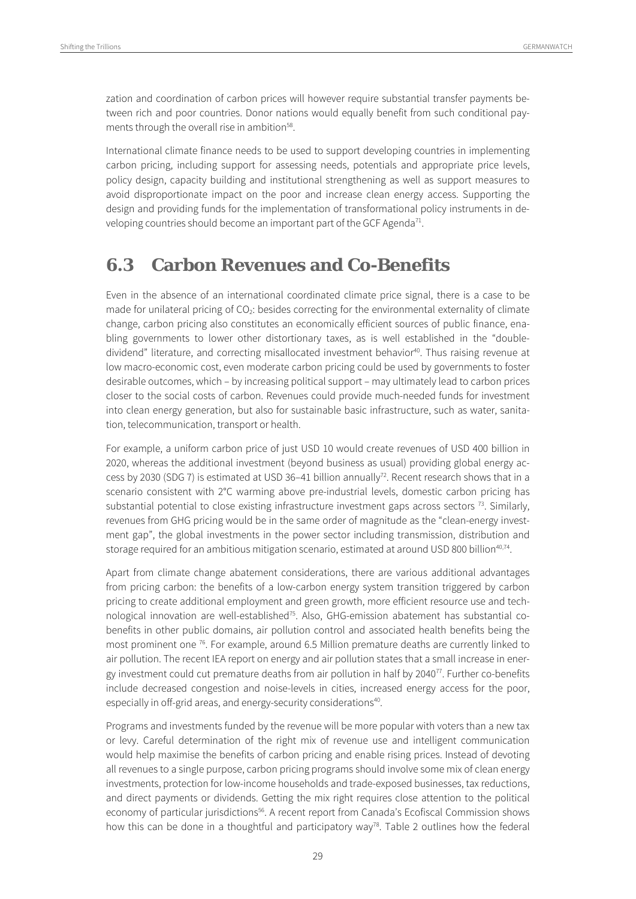zation and coordination of carbon prices will however require substantial transfer payments between rich and poor countries. Donor nations would equally benefit from such conditional payments through the overall rise in ambition<sup>58</sup>.

International climate finance needs to be used to support developing countries in implementing carbon pricing, including support for assessing needs, potentials and appropriate price levels, policy design, capacity building and institutional strengthening as well as support measures to avoid disproportionate impact on the poor and increase clean energy access. Supporting the design and providing funds for the implementation of transformational policy instruments in developing countries should become an important part of the GCF Agenda<sup>71</sup>.

#### **6.3 Carbon Revenues and Co-Benefits**

Even in the absence of an international coordinated climate price signal, there is a case to be made for unilateral pricing of CO<sub>2</sub>: besides correcting for the environmental externality of climate change, carbon pricing also constitutes an economically efficient sources of public finance, enabling governments to lower other distortionary taxes, as is well established in the "doubledividend" literature, and correcting misallocated investment behavior<sup>40</sup>. Thus raising revenue at low macro-economic cost, even moderate carbon pricing could be used by governments to foster desirable outcomes, which – by increasing political support – may ultimately lead to carbon prices closer to the social costs of carbon. Revenues could provide much-needed funds for investment into clean energy generation, but also for sustainable basic infrastructure, such as water, sanitation, telecommunication, transport or health.

For example, a uniform carbon price of just USD 10 would create revenues of USD 400 billion in 2020, whereas the additional investment (beyond business as usual) providing global energy access by 2030 (SDG 7) is estimated at USD 36-41 billion annually<sup>72</sup>. Recent research shows that in a scenario consistent with 2°C warming above pre-industrial levels, domestic carbon pricing has substantial potential to close existing infrastructure investment gaps across sectors  $^{73}$ . Similarly, revenues from GHG pricing would be in the same order of magnitude as the "clean-energy investment gap", the global investments in the power sector including transmission, distribution and storage required for an ambitious mitigation scenario, estimated at around USD 800 billion<sup>40,74</sup>.

Apart from climate change abatement considerations, there are various additional advantages from pricing carbon: the benefits of a low-carbon energy system transition triggered by carbon pricing to create additional employment and green growth, more efficient resource use and technological innovation are well-established<sup>75</sup>. Also, GHG-emission abatement has substantial cobenefits in other public domains, air pollution control and associated health benefits being the most prominent one <sup>76</sup>. For example, around 6.5 Million premature deaths are currently linked to air pollution. The recent IEA report on energy and air pollution states that a small increase in energy investment could cut premature deaths from air pollution in half by 204077. Further co-benefits include decreased congestion and noise-levels in cities, increased energy access for the poor, especially in off-grid areas, and energy-security considerations<sup>40</sup>.

Programs and investments funded by the revenue will be more popular with voters than a new tax or levy. Careful determination of the right mix of revenue use and intelligent communication would help maximise the benefits of carbon pricing and enable rising prices. Instead of devoting all revenues to a single purpose, carbon pricing programs should involve some mix of clean energy investments, protection for low-income households and trade-exposed businesses, tax reductions, and direct payments or dividends. Getting the mix right requires close attention to the political economy of particular jurisdictions<sup>56</sup>. A recent report from Canada's Ecofiscal Commission shows how this can be done in a thoughtful and participatory way<sup>78</sup>. Table 2 outlines how the federal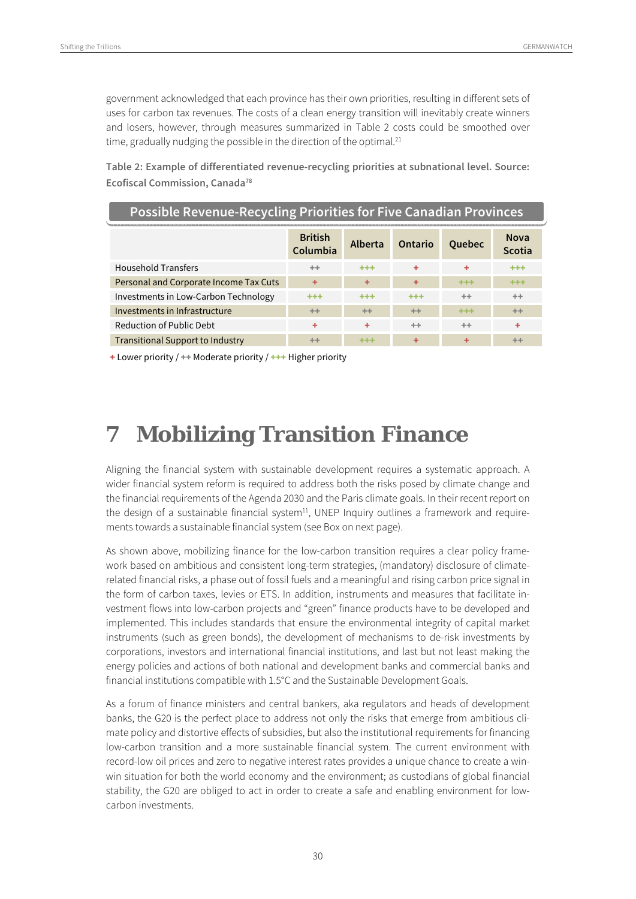government acknowledged that each province has their own priorities, resulting in different sets of uses for carbon tax revenues. The costs of a clean energy transition will inevitably create winners and losers, however, through measures summarized in Table 2 costs could be smoothed over time, gradually nudging the possible in the direction of the optimal.<sup>21</sup>

**Table 2: Example of differentiated revenue-recycling priorities at subnational level. Source: Ecofiscal Commission, Canada78**

| <b>Possible Revenue-Recycling Priorities for Five Canadian Provinces</b> |                            |                |                |               |                              |
|--------------------------------------------------------------------------|----------------------------|----------------|----------------|---------------|------------------------------|
|                                                                          | <b>British</b><br>Columbia | <b>Alberta</b> | <b>Ontario</b> | <b>Ouebec</b> | <b>Nova</b><br><b>Scotia</b> |
| <b>Household Transfers</b>                                               | $++$                       | $***$          | ÷              | ٠             | +++                          |
| Personal and Corporate Income Tax Cuts                                   | ÷                          | ÷              | ÷              | +++           | +++                          |
| Investments in Low-Carbon Technology                                     | $***$                      | $+ + +$        | +++            | ÷÷.           | $++$                         |
| Investments in Infrastructure                                            | $++$                       | ++             | ++             | ***           | ++                           |
| <b>Reduction of Public Debt</b>                                          | ÷                          | ÷              | $++$           | <b>++</b>     | ÷                            |
| <b>Transitional Support to Industry</b>                                  | $++$                       | +++            | ٠              | ٠             | $+ +$                        |

+ Lower priority / ++ Moderate priority / +++ Higher priority

### **7 Mobilizing Transition Finance**

Aligning the financial system with sustainable development requires a systematic approach. A wider financial system reform is required to address both the risks posed by climate change and the financial requirements of the Agenda 2030 and the Paris climate goals. In their recent report on the design of a sustainable financial system $11$ , UNEP Inquiry outlines a framework and requirements towards a sustainable financial system (see Box on next page).

As shown above, mobilizing finance for the low-carbon transition requires a clear policy framework based on ambitious and consistent long-term strategies, (mandatory) disclosure of climaterelated financial risks, a phase out of fossil fuels and a meaningful and rising carbon price signal in the form of carbon taxes, levies or ETS. In addition, instruments and measures that facilitate investment flows into low-carbon projects and "green" finance products have to be developed and implemented. This includes standards that ensure the environmental integrity of capital market instruments (such as green bonds), the development of mechanisms to de-risk investments by corporations, investors and international financial institutions, and last but not least making the energy policies and actions of both national and development banks and commercial banks and financial institutions compatible with 1.5°C and the Sustainable Development Goals.

As a forum of finance ministers and central bankers, aka regulators and heads of development banks, the G20 is the perfect place to address not only the risks that emerge from ambitious climate policy and distortive effects of subsidies, but also the institutional requirements for financing low-carbon transition and a more sustainable financial system. The current environment with record-low oil prices and zero to negative interest rates provides a unique chance to create a winwin situation for both the world economy and the environment; as custodians of global financial stability, the G20 are obliged to act in order to create a safe and enabling environment for lowcarbon investments.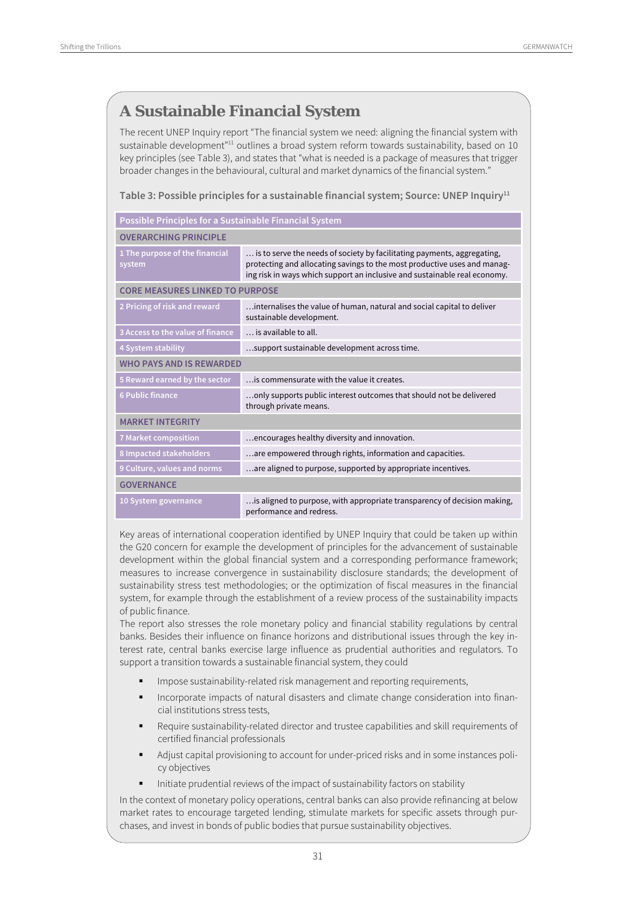#### **A Sustainable Financial System**

The recent UNEP Inquiry report "The financial system we need: aligning the financial system with sustainable development"<sup>11</sup> outlines a broad system reform towards sustainability, based on 10 key principles (see Table 3), and states that "what is needed is a package of measures that trigger broader changes in the behavioural, cultural and market dynamics of the financial system."

Table 3: Possible principles for a sustainable financial system; Source: UNEP Inquiry<sup>11</sup>

| Possible Principles for a Sustainable Financial System                                                                                                                                                                                                                       |                                                                                                      |  |  |  |
|------------------------------------------------------------------------------------------------------------------------------------------------------------------------------------------------------------------------------------------------------------------------------|------------------------------------------------------------------------------------------------------|--|--|--|
| <b>OVERARCHING PRINCIPLE</b>                                                                                                                                                                                                                                                 |                                                                                                      |  |  |  |
| 1 The purpose of the financial<br>is to serve the needs of society by facilitating payments, aggregating,<br>protecting and allocating savings to the most productive uses and manag-<br>system<br>ing risk in ways which support an inclusive and sustainable real economy. |                                                                                                      |  |  |  |
| <b>CORE MEASURES LINKED TO PURPOSE</b>                                                                                                                                                                                                                                       |                                                                                                      |  |  |  |
| 2 Pricing of risk and reward                                                                                                                                                                                                                                                 | internalises the value of human, natural and social capital to deliver<br>sustainable development.   |  |  |  |
| 3 Access to the value of finance                                                                                                                                                                                                                                             | is available to all.                                                                                 |  |  |  |
| 4 System stability                                                                                                                                                                                                                                                           | support sustainable development across time.                                                         |  |  |  |
| <b>WHO PAYS AND IS REWARDED</b>                                                                                                                                                                                                                                              |                                                                                                      |  |  |  |
| 5 Reward earned by the sector<br>is commensurate with the value it creates.                                                                                                                                                                                                  |                                                                                                      |  |  |  |
| <b>6 Public finance</b>                                                                                                                                                                                                                                                      | only supports public interest outcomes that should not be delivered<br>through private means.        |  |  |  |
| <b>MARKET INTEGRITY</b>                                                                                                                                                                                                                                                      |                                                                                                      |  |  |  |
| 7 Market composition                                                                                                                                                                                                                                                         | encourages healthy diversity and innovation.                                                         |  |  |  |
| 8 Impacted stakeholders                                                                                                                                                                                                                                                      | are empowered through rights, information and capacities.                                            |  |  |  |
| 9 Culture, values and norms                                                                                                                                                                                                                                                  | are aligned to purpose, supported by appropriate incentives.                                         |  |  |  |
| <b>GOVERNANCE</b>                                                                                                                                                                                                                                                            |                                                                                                      |  |  |  |
| 10 System governance                                                                                                                                                                                                                                                         | is aligned to purpose, with appropriate transparency of decision making,<br>performance and redress. |  |  |  |

Key areas of international cooperation identified by UNEP Inquiry that could be taken up within the G20 concern for example the development of principles for the advancement of sustainable development within the global financial system and a corresponding performance framework; measures to increase convergence in sustainability disclosure standards; the development of sustainability stress test methodologies; or the optimization of fiscal measures in the financial system, for example through the establishment of a review process of the sustainability impacts of public finance.

The report also stresses the role monetary policy and financial stability regulations by central banks. Besides their influence on finance horizons and distributional issues through the key interest rate, central banks exercise large influence as prudential authorities and regulators. To support a transition towards a sustainable financial system, they could

- Impose sustainability-related risk management and reporting requirements,
- Incorporate impacts of natural disasters and climate change consideration into financial institutions stress tests,
- Require sustainability-related director and trustee capabilities and skill requirements of certified financial professionals
- Adjust capital provisioning to account for under-priced risks and in some instances policy objectives
- Initiate prudential reviews of the impact of sustainability factors on stability

In the context of monetary policy operations, central banks can also provide refinancing at below market rates to encourage targeted lending, stimulate markets for specific assets through purchases, and invest in bonds of public bodies that pursue sustainability objectives.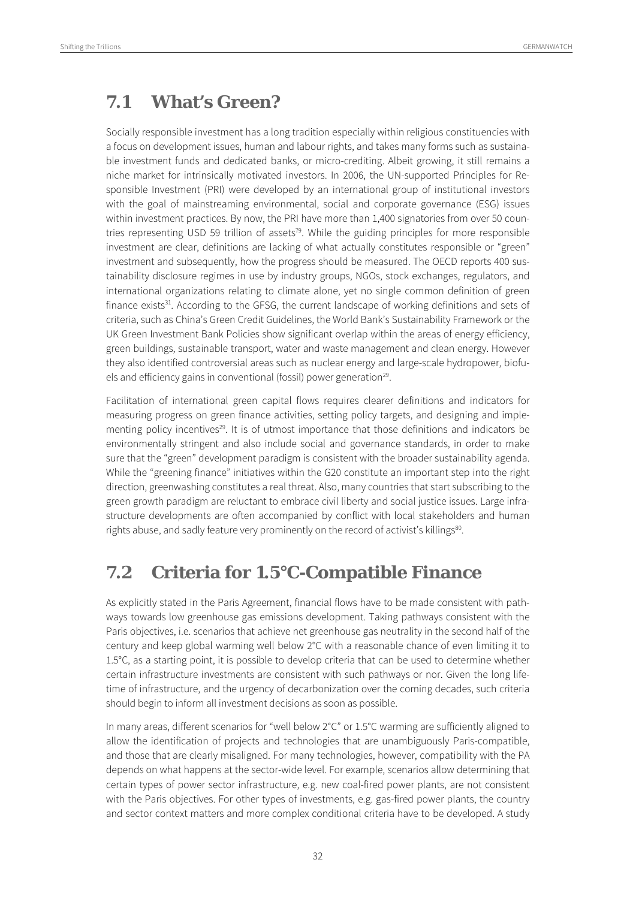### **7.1 What's Green?**

Socially responsible investment has a long tradition especially within religious constituencies with a focus on development issues, human and labour rights, and takes many forms such as sustainable investment funds and dedicated banks, or micro-crediting. Albeit growing, it still remains a niche market for intrinsically motivated investors. In 2006, the UN-supported Principles for Responsible Investment (PRI) were developed by an international group of institutional investors with the goal of mainstreaming environmental, social and corporate governance (ESG) issues within investment practices. By now, the PRI have more than 1,400 signatories from over 50 countries representing USD 59 trillion of assets<sup>79</sup>. While the guiding principles for more responsible investment are clear, definitions are lacking of what actually constitutes responsible or "green" investment and subsequently, how the progress should be measured. The OECD reports 400 sustainability disclosure regimes in use by industry groups, NGOs, stock exchanges, regulators, and international organizations relating to climate alone, yet no single common definition of green finance exists<sup>31</sup>. According to the GFSG, the current landscape of working definitions and sets of criteria, such as China's Green Credit Guidelines, the World Bank's Sustainability Framework or the UK Green Investment Bank Policies show significant overlap within the areas of energy efficiency, green buildings, sustainable transport, water and waste management and clean energy. However they also identified controversial areas such as nuclear energy and large-scale hydropower, biofuels and efficiency gains in conventional (fossil) power generation<sup>29</sup>.

Facilitation of international green capital flows requires clearer definitions and indicators for measuring progress on green finance activities, setting policy targets, and designing and implementing policy incentives<sup>29</sup>. It is of utmost importance that those definitions and indicators be environmentally stringent and also include social and governance standards, in order to make sure that the "green" development paradigm is consistent with the broader sustainability agenda. While the "greening finance" initiatives within the G20 constitute an important step into the right direction, greenwashing constitutes a real threat. Also, many countries that start subscribing to the green growth paradigm are reluctant to embrace civil liberty and social justice issues. Large infrastructure developments are often accompanied by conflict with local stakeholders and human rights abuse, and sadly feature very prominently on the record of activist's killings<sup>80</sup>.

### **7.2 Criteria for 1.5°C-Compatible Finance**

As explicitly stated in the Paris Agreement, financial flows have to be made consistent with pathways towards low greenhouse gas emissions development. Taking pathways consistent with the Paris objectives, i.e. scenarios that achieve net greenhouse gas neutrality in the second half of the century and keep global warming well below 2°C with a reasonable chance of even limiting it to 1.5°C, as a starting point, it is possible to develop criteria that can be used to determine whether certain infrastructure investments are consistent with such pathways or nor. Given the long lifetime of infrastructure, and the urgency of decarbonization over the coming decades, such criteria should begin to inform all investment decisions as soon as possible.

In many areas, different scenarios for "well below 2°C" or 1.5°C warming are sufficiently aligned to allow the identification of projects and technologies that are unambiguously Paris-compatible, and those that are clearly misaligned. For many technologies, however, compatibility with the PA depends on what happens at the sector-wide level. For example, scenarios allow determining that certain types of power sector infrastructure, e.g. new coal-fired power plants, are not consistent with the Paris objectives. For other types of investments, e.g. gas-fired power plants, the country and sector context matters and more complex conditional criteria have to be developed. A study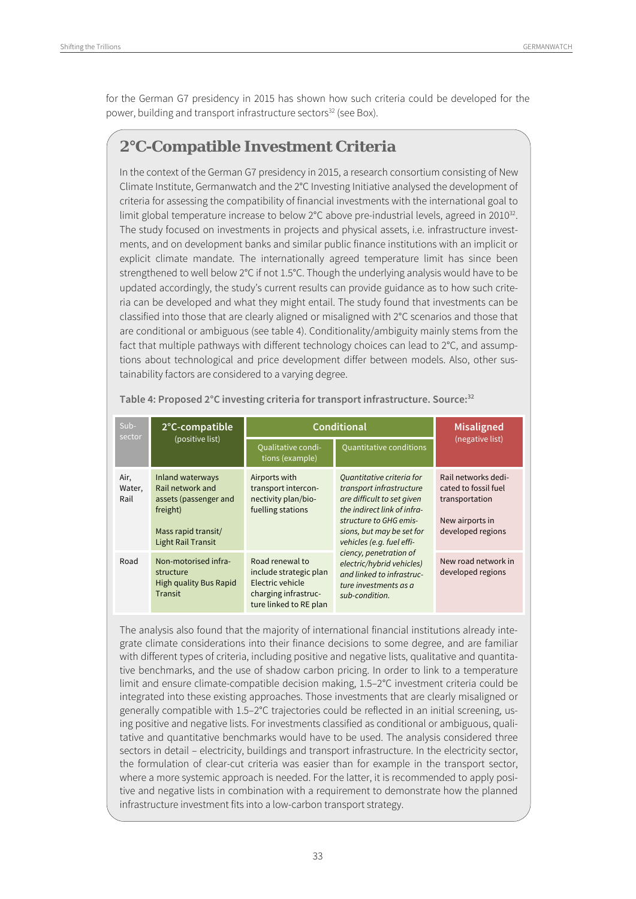for the German G7 presidency in 2015 has shown how such criteria could be developed for the power, building and transport infrastructure sectors<sup>32</sup> (see Box).

#### **2°C-Compatible Investment Criteria**

In the context of the German G7 presidency in 2015, a research consortium consisting of New Climate Institute, Germanwatch and the 2°C Investing Initiative analysed the development of criteria for assessing the compatibility of financial investments with the international goal to limit global temperature increase to below 2°C above pre-industrial levels, agreed in 2010<sup>32</sup>. The study focused on investments in projects and physical assets, i.e. infrastructure investments, and on development banks and similar public finance institutions with an implicit or explicit climate mandate. The internationally agreed temperature limit has since been strengthened to well below 2°C if not 1.5°C. Though the underlying analysis would have to be updated accordingly, the study's current results can provide guidance as to how such criteria can be developed and what they might entail. The study found that investments can be classified into those that are clearly aligned or misaligned with 2°C scenarios and those that are conditional or ambiguous (see table 4). Conditionality/ambiguity mainly stems from the fact that multiple pathways with different technology choices can lead to 2°C, and assumptions about technological and price development differ between models. Also, other sustainability factors are considered to a varying degree.

| Sub-<br>sector         | 2°C-compatible                                                                                                                | <b>Conditional</b>                                                                                              | <b>Misaligned</b>                                                                                                                                                                                      |                                                                                                       |  |
|------------------------|-------------------------------------------------------------------------------------------------------------------------------|-----------------------------------------------------------------------------------------------------------------|--------------------------------------------------------------------------------------------------------------------------------------------------------------------------------------------------------|-------------------------------------------------------------------------------------------------------|--|
|                        | (positive list)                                                                                                               | <b>Qualitative condi-</b><br>tions (example)                                                                    | <b>Quantitative conditions</b>                                                                                                                                                                         | (negative list)                                                                                       |  |
| Air,<br>Water,<br>Rail | Inland waterways<br>Rail network and<br>assets (passenger and<br>freight)<br>Mass rapid transit/<br><b>Light Rail Transit</b> | Airports with<br>transport intercon-<br>nectivity plan/bio-<br>fuelling stations                                | Quantitative criteria for<br>transport infrastructure<br>are difficult to set given<br>the indirect link of infra-<br>structure to GHG emis-<br>sions, but may be set for<br>vehicles (e.g. fuel effi- | Rail networks dedi-<br>cated to fossil fuel<br>transportation<br>New airports in<br>developed regions |  |
| Road                   | Non-motorised infra-<br>structure<br><b>High quality Bus Rapid</b><br>Transit                                                 | Road renewal to<br>include strategic plan<br>Electric vehicle<br>charging infrastruc-<br>ture linked to RE plan | ciency, penetration of<br>electric/hybrid vehicles)<br>and linked to infrastruc-<br>ture investments as a<br>sub-condition.                                                                            | New road network in<br>developed regions                                                              |  |

**Table 4: Proposed 2°C investing criteria for transport infrastructure. Source:32** 

The analysis also found that the majority of international financial institutions already integrate climate considerations into their finance decisions to some degree, and are familiar with different types of criteria, including positive and negative lists, qualitative and quantitative benchmarks, and the use of shadow carbon pricing. In order to link to a temperature limit and ensure climate-compatible decision making, 1.5–2°C investment criteria could be integrated into these existing approaches. Those investments that are clearly misaligned or generally compatible with 1.5–2°C trajectories could be reflected in an initial screening, using positive and negative lists. For investments classified as conditional or ambiguous, qualitative and quantitative benchmarks would have to be used. The analysis considered three sectors in detail – electricity, buildings and transport infrastructure. In the electricity sector, the formulation of clear-cut criteria was easier than for example in the transport sector, where a more systemic approach is needed. For the latter, it is recommended to apply positive and negative lists in combination with a requirement to demonstrate how the planned infrastructure investment fits into a low-carbon transport strategy.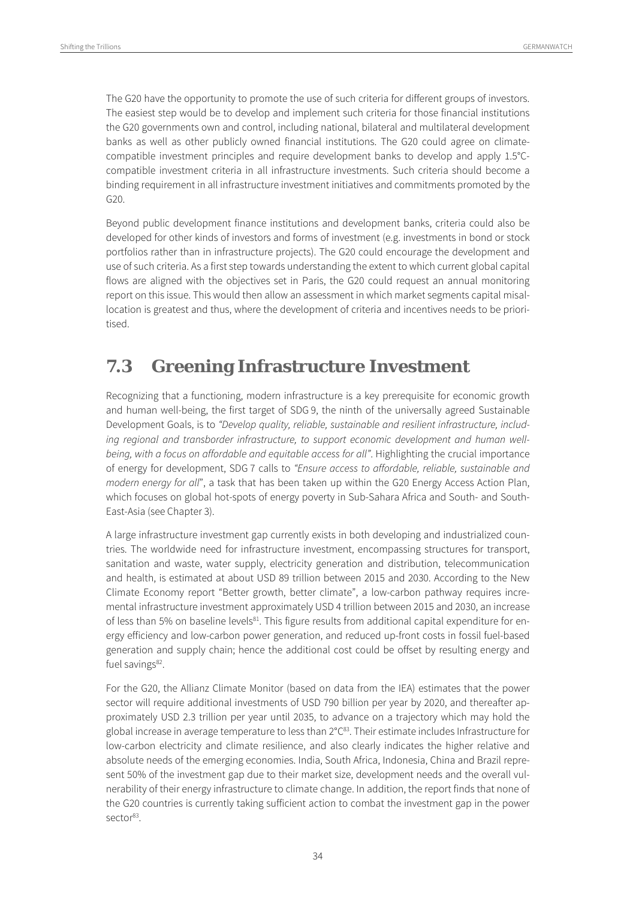The G20 have the opportunity to promote the use of such criteria for different groups of investors. The easiest step would be to develop and implement such criteria for those financial institutions the G20 governments own and control, including national, bilateral and multilateral development banks as well as other publicly owned financial institutions. The G20 could agree on climatecompatible investment principles and require development banks to develop and apply 1.5°Ccompatible investment criteria in all infrastructure investments. Such criteria should become a binding requirement in all infrastructure investment initiatives and commitments promoted by the G20.

Beyond public development finance institutions and development banks, criteria could also be developed for other kinds of investors and forms of investment (e.g. investments in bond or stock portfolios rather than in infrastructure projects). The G20 could encourage the development and use of such criteria. As a first step towards understanding the extent to which current global capital flows are aligned with the objectives set in Paris, the G20 could request an annual monitoring report on this issue. This would then allow an assessment in which market segments capital misallocation is greatest and thus, where the development of criteria and incentives needs to be prioritised.

#### **7.3 Greening Infrastructure Investment**

Recognizing that a functioning, modern infrastructure is a key prerequisite for economic growth and human well-being, the first target of SDG 9, the ninth of the universally agreed Sustainable Development Goals, is to "Develop quality, reliable, sustainable and resilient infrastructure, including regional and transborder infrastructure, to support economic development and human wellbeing, with a focus on affordable and equitable access for all". Highlighting the crucial importance of energy for development, SDG 7 calls to "Ensure access to affordable, reliable, sustainable and modern energy for all", a task that has been taken up within the G20 Energy Access Action Plan, which focuses on global hot-spots of energy poverty in Sub-Sahara Africa and South- and South-East-Asia (see Chapter 3).

A large infrastructure investment gap currently exists in both developing and industrialized countries. The worldwide need for infrastructure investment, encompassing structures for transport, sanitation and waste, water supply, electricity generation and distribution, telecommunication and health, is estimated at about USD 89 trillion between 2015 and 2030. According to the New Climate Economy report "Better growth, better climate", a low-carbon pathway requires incremental infrastructure investment approximately USD 4 trillion between 2015 and 2030, an increase of less than 5% on baseline levels<sup>81</sup>. This figure results from additional capital expenditure for energy efficiency and low-carbon power generation, and reduced up-front costs in fossil fuel-based generation and supply chain; hence the additional cost could be offset by resulting energy and fuel savings $82$ .

For the G20, the Allianz Climate Monitor (based on data from the IEA) estimates that the power sector will require additional investments of USD 790 billion per year by 2020, and thereafter approximately USD 2.3 trillion per year until 2035, to advance on a trajectory which may hold the global increase in average temperature to less than 2°C<sup>83</sup>. Their estimate includes Infrastructure for low-carbon electricity and climate resilience, and also clearly indicates the higher relative and absolute needs of the emerging economies. India, South Africa, Indonesia, China and Brazil represent 50% of the investment gap due to their market size, development needs and the overall vulnerability of their energy infrastructure to climate change. In addition, the report finds that none of the G20 countries is currently taking sufficient action to combat the investment gap in the power sector<sup>83</sup>.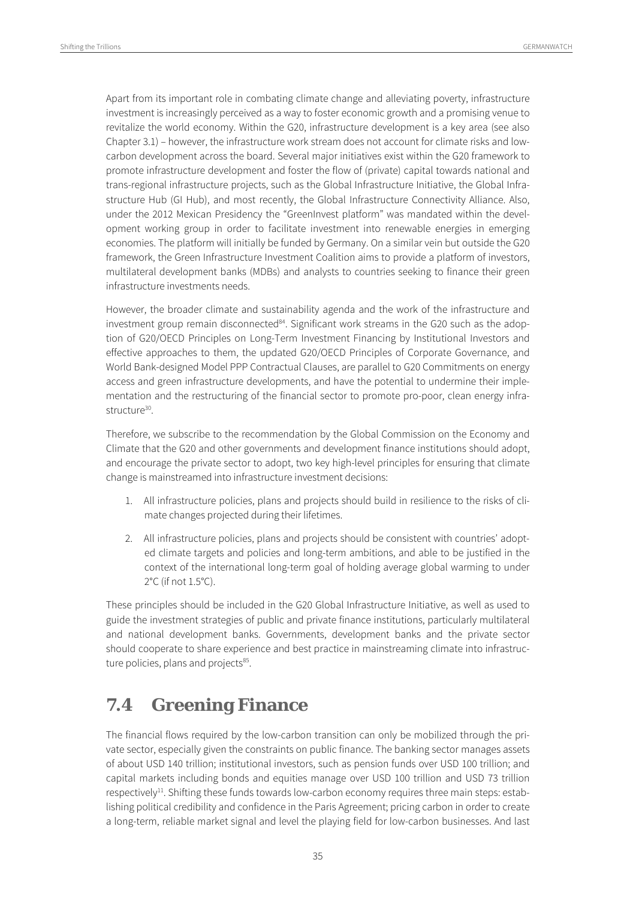Apart from its important role in combating climate change and alleviating poverty, infrastructure investment is increasingly perceived as a way to foster economic growth and a promising venue to revitalize the world economy. Within the G20, infrastructure development is a key area (see also Chapter 3.1) – however, the infrastructure work stream does not account for climate risks and lowcarbon development across the board. Several major initiatives exist within the G20 framework to promote infrastructure development and foster the flow of (private) capital towards national and trans-regional infrastructure projects, such as the Global Infrastructure Initiative, the Global Infrastructure Hub (GI Hub), and most recently, the Global Infrastructure Connectivity Alliance. Also, under the 2012 Mexican Presidency the "GreenInvest platform" was mandated within the development working group in order to facilitate investment into renewable energies in emerging economies. The platform will initially be funded by Germany. On a similar vein but outside the G20 framework, the Green Infrastructure Investment Coalition aims to provide a platform of investors, multilateral development banks (MDBs) and analysts to countries seeking to finance their green infrastructure investments needs.

However, the broader climate and sustainability agenda and the work of the infrastructure and investment group remain disconnected<sup>84</sup>. Significant work streams in the G20 such as the adoption of G20/OECD Principles on Long-Term Investment Financing by Institutional Investors and effective approaches to them, the updated G20/OECD Principles of Corporate Governance, and World Bank-designed Model PPP Contractual Clauses, are parallel to G20 Commitments on energy access and green infrastructure developments, and have the potential to undermine their implementation and the restructuring of the financial sector to promote pro-poor, clean energy infrastructure<sup>30</sup>.

Therefore, we subscribe to the recommendation by the Global Commission on the Economy and Climate that the G20 and other governments and development finance institutions should adopt, and encourage the private sector to adopt, two key high-level principles for ensuring that climate change is mainstreamed into infrastructure investment decisions:

- 1. All infrastructure policies, plans and projects should build in resilience to the risks of climate changes projected during their lifetimes.
- 2. All infrastructure policies, plans and projects should be consistent with countries' adopted climate targets and policies and long-term ambitions, and able to be justified in the context of the international long-term goal of holding average global warming to under 2°C (if not 1.5°C).

These principles should be included in the G20 Global Infrastructure Initiative, as well as used to guide the investment strategies of public and private finance institutions, particularly multilateral and national development banks. Governments, development banks and the private sector should cooperate to share experience and best practice in mainstreaming climate into infrastructure policies, plans and projects<sup>85</sup>.

#### **7.4 Greening Finance**

The financial flows required by the low-carbon transition can only be mobilized through the private sector, especially given the constraints on public finance. The banking sector manages assets of about USD 140 trillion; institutional investors, such as pension funds over USD 100 trillion; and capital markets including bonds and equities manage over USD 100 trillion and USD 73 trillion respectively<sup>11</sup>. Shifting these funds towards low-carbon economy requires three main steps: establishing political credibility and confidence in the Paris Agreement; pricing carbon in order to create a long-term, reliable market signal and level the playing field for low-carbon businesses. And last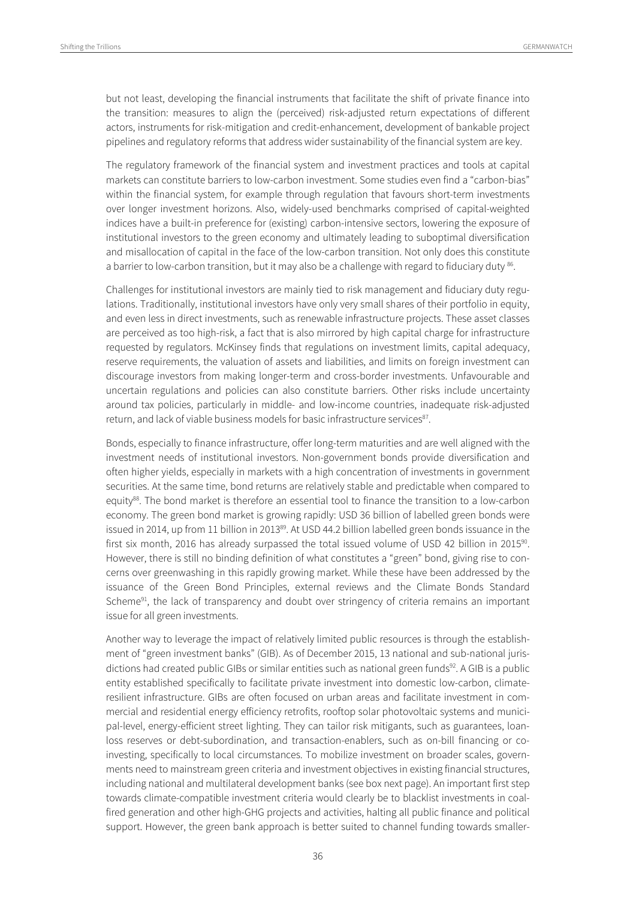but not least, developing the financial instruments that facilitate the shift of private finance into the transition: measures to align the (perceived) risk-adjusted return expectations of different actors, instruments for risk-mitigation and credit-enhancement, development of bankable project pipelines and regulatory reforms that address wider sustainability of the financial system are key.

The regulatory framework of the financial system and investment practices and tools at capital markets can constitute barriers to low-carbon investment. Some studies even find a "carbon-bias" within the financial system, for example through regulation that favours short-term investments over longer investment horizons. Also, widely-used benchmarks comprised of capital-weighted indices have a built-in preference for (existing) carbon-intensive sectors, lowering the exposure of institutional investors to the green economy and ultimately leading to suboptimal diversification and misallocation of capital in the face of the low-carbon transition. Not only does this constitute a barrier to low-carbon transition, but it may also be a challenge with regard to fiduciary duty <sup>86</sup>.

Challenges for institutional investors are mainly tied to risk management and fiduciary duty regulations. Traditionally, institutional investors have only very small shares of their portfolio in equity, and even less in direct investments, such as renewable infrastructure projects. These asset classes are perceived as too high-risk, a fact that is also mirrored by high capital charge for infrastructure requested by regulators. McKinsey finds that regulations on investment limits, capital adequacy, reserve requirements, the valuation of assets and liabilities, and limits on foreign investment can discourage investors from making longer-term and cross-border investments. Unfavourable and uncertain regulations and policies can also constitute barriers. Other risks include uncertainty around tax policies, particularly in middle- and low-income countries, inadequate risk-adjusted return, and lack of viable business models for basic infrastructure services<sup>87</sup>.

Bonds, especially to finance infrastructure, offer long-term maturities and are well aligned with the investment needs of institutional investors. Non-government bonds provide diversification and often higher yields, especially in markets with a high concentration of investments in government securities. At the same time, bond returns are relatively stable and predictable when compared to equity88. The bond market is therefore an essential tool to finance the transition to a low-carbon economy. The green bond market is growing rapidly: USD 36 billion of labelled green bonds were issued in 2014, up from 11 billion in 2013<sup>89</sup>. At USD 44.2 billion labelled green bonds issuance in the first six month, 2016 has already surpassed the total issued volume of USD 42 billion in 2015<sup>90</sup>. However, there is still no binding definition of what constitutes a "green" bond, giving rise to concerns over greenwashing in this rapidly growing market. While these have been addressed by the issuance of the Green Bond Principles, external reviews and the Climate Bonds Standard Scheme<sup>91</sup>, the lack of transparency and doubt over stringency of criteria remains an important issue for all green investments.

Another way to leverage the impact of relatively limited public resources is through the establishment of "green investment banks" (GIB). As of December 2015, 13 national and sub-national jurisdictions had created public GIBs or similar entities such as national green funds<sup>92</sup>. A GIB is a public entity established specifically to facilitate private investment into domestic low-carbon, climateresilient infrastructure. GIBs are often focused on urban areas and facilitate investment in commercial and residential energy efficiency retrofits, rooftop solar photovoltaic systems and municipal-level, energy-efficient street lighting. They can tailor risk mitigants, such as guarantees, loanloss reserves or debt-subordination, and transaction-enablers, such as on-bill financing or coinvesting, specifically to local circumstances. To mobilize investment on broader scales, governments need to mainstream green criteria and investment objectives in existing financial structures, including national and multilateral development banks (see box next page). An important first step towards climate-compatible investment criteria would clearly be to blacklist investments in coalfired generation and other high-GHG projects and activities, halting all public finance and political support. However, the green bank approach is better suited to channel funding towards smaller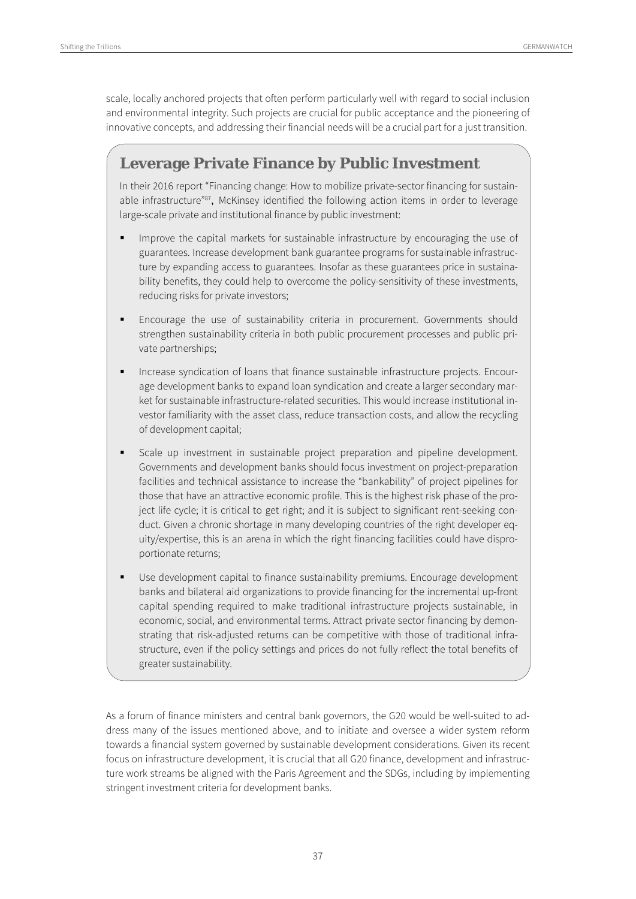scale, locally anchored projects that often perform particularly well with regard to social inclusion and environmental integrity. Such projects are crucial for public acceptance and the pioneering of innovative concepts, and addressing their financial needs will be a crucial part for a just transition.

#### **Leverage Private Finance by Public Investment**

In their 2016 report "Financing change: How to mobilize private-sector financing for sustainable infrastructure"<sup>87</sup>, McKinsey identified the following action items in order to leverage large-scale private and institutional finance by public investment:

- Improve the capital markets for sustainable infrastructure by encouraging the use of guarantees. Increase development bank guarantee programs for sustainable infrastructure by expanding access to guarantees. Insofar as these guarantees price in sustainability benefits, they could help to overcome the policy-sensitivity of these investments, reducing risks for private investors;
- Encourage the use of sustainability criteria in procurement. Governments should strengthen sustainability criteria in both public procurement processes and public private partnerships;
- Increase syndication of loans that finance sustainable infrastructure projects. Encourage development banks to expand loan syndication and create a larger secondary market for sustainable infrastructure-related securities. This would increase institutional investor familiarity with the asset class, reduce transaction costs, and allow the recycling of development capital;
- Scale up investment in sustainable project preparation and pipeline development. Governments and development banks should focus investment on project-preparation facilities and technical assistance to increase the "bankability" of project pipelines for those that have an attractive economic profile. This is the highest risk phase of the project life cycle; it is critical to get right; and it is subject to significant rent-seeking conduct. Given a chronic shortage in many developing countries of the right developer equity/expertise, this is an arena in which the right financing facilities could have disproportionate returns;
- Use development capital to finance sustainability premiums. Encourage development banks and bilateral aid organizations to provide financing for the incremental up-front capital spending required to make traditional infrastructure projects sustainable, in economic, social, and environmental terms. Attract private sector financing by demonstrating that risk-adjusted returns can be competitive with those of traditional infrastructure, even if the policy settings and prices do not fully reflect the total benefits of greater sustainability.

As a forum of finance ministers and central bank governors, the G20 would be well-suited to address many of the issues mentioned above, and to initiate and oversee a wider system reform towards a financial system governed by sustainable development considerations. Given its recent focus on infrastructure development, it is crucial that all G20 finance, development and infrastructure work streams be aligned with the Paris Agreement and the SDGs, including by implementing stringent investment criteria for development banks.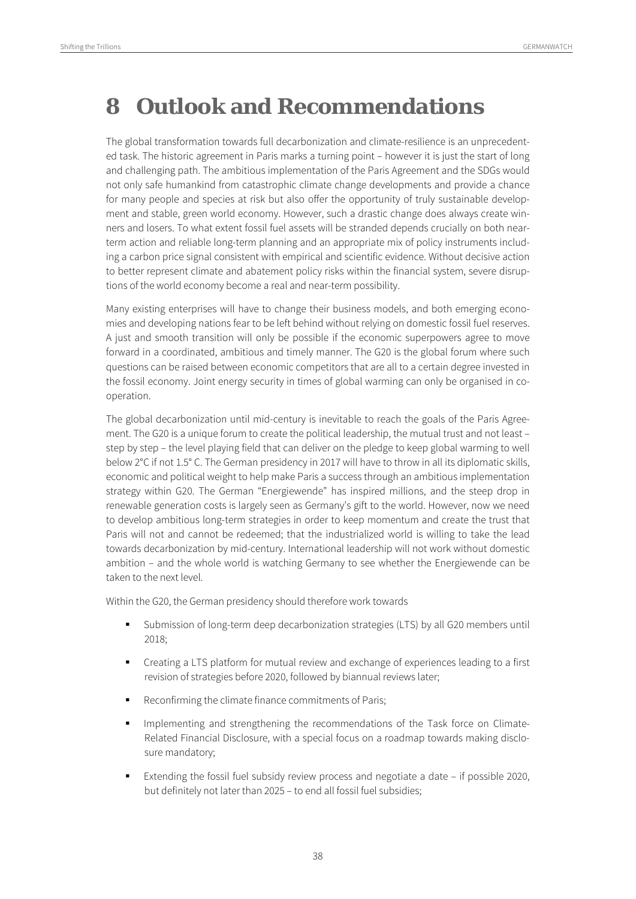### **8 Outlook and Recommendations**

The global transformation towards full decarbonization and climate-resilience is an unprecedented task. The historic agreement in Paris marks a turning point – however it is just the start of long and challenging path. The ambitious implementation of the Paris Agreement and the SDGs would not only safe humankind from catastrophic climate change developments and provide a chance for many people and species at risk but also offer the opportunity of truly sustainable development and stable, green world economy. However, such a drastic change does always create winners and losers. To what extent fossil fuel assets will be stranded depends crucially on both nearterm action and reliable long-term planning and an appropriate mix of policy instruments including a carbon price signal consistent with empirical and scientific evidence. Without decisive action to better represent climate and abatement policy risks within the financial system, severe disruptions of the world economy become a real and near-term possibility.

Many existing enterprises will have to change their business models, and both emerging economies and developing nations fear to be left behind without relying on domestic fossil fuel reserves. A just and smooth transition will only be possible if the economic superpowers agree to move forward in a coordinated, ambitious and timely manner. The G20 is the global forum where such questions can be raised between economic competitors that are all to a certain degree invested in the fossil economy. Joint energy security in times of global warming can only be organised in cooperation.

The global decarbonization until mid-century is inevitable to reach the goals of the Paris Agreement. The G20 is a unique forum to create the political leadership, the mutual trust and not least – step by step – the level playing field that can deliver on the pledge to keep global warming to well below 2°C if not 1.5° C. The German presidency in 2017 will have to throw in all its diplomatic skills, economic and political weight to help make Paris a success through an ambitious implementation strategy within G20. The German "Energiewende" has inspired millions, and the steep drop in renewable generation costs is largely seen as Germany's gift to the world. However, now we need to develop ambitious long-term strategies in order to keep momentum and create the trust that Paris will not and cannot be redeemed; that the industrialized world is willing to take the lead towards decarbonization by mid-century. International leadership will not work without domestic ambition – and the whole world is watching Germany to see whether the Energiewende can be taken to the next level.

Within the G20, the German presidency should therefore work towards

- Submission of long-term deep decarbonization strategies (LTS) by all G20 members until 2018;
- Creating a LTS platform for mutual review and exchange of experiences leading to a first revision of strategies before 2020, followed by biannual reviews later;
- Reconfirming the climate finance commitments of Paris;
- Implementing and strengthening the recommendations of the Task force on Climate-Related Financial Disclosure, with a special focus on a roadmap towards making disclosure mandatory;
- Extending the fossil fuel subsidy review process and negotiate a date if possible 2020, but definitely not later than 2025 – to end all fossil fuel subsidies;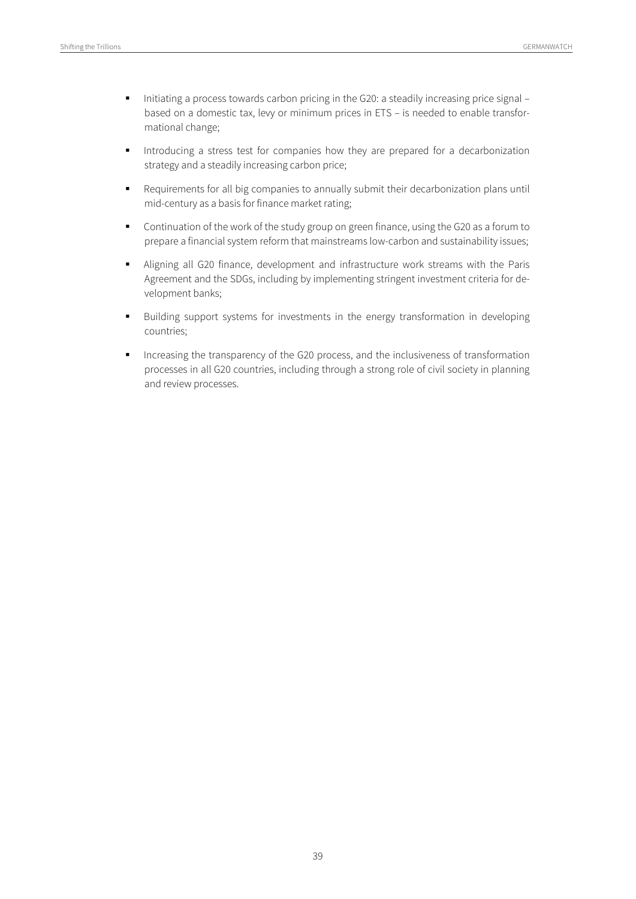- Initiating a process towards carbon pricing in the G20: a steadily increasing price signal based on a domestic tax, levy or minimum prices in ETS – is needed to enable transformational change;
- Introducing a stress test for companies how they are prepared for a decarbonization strategy and a steadily increasing carbon price;
- Requirements for all big companies to annually submit their decarbonization plans until mid-century as a basis for finance market rating;
- Continuation of the work of the study group on green finance, using the G20 as a forum to prepare a financial system reform that mainstreams low-carbon and sustainability issues;
- Aligning all G20 finance, development and infrastructure work streams with the Paris Agreement and the SDGs, including by implementing stringent investment criteria for development banks;
- Building support systems for investments in the energy transformation in developing countries;
- Increasing the transparency of the G20 process, and the inclusiveness of transformation processes in all G20 countries, including through a strong role of civil society in planning and review processes.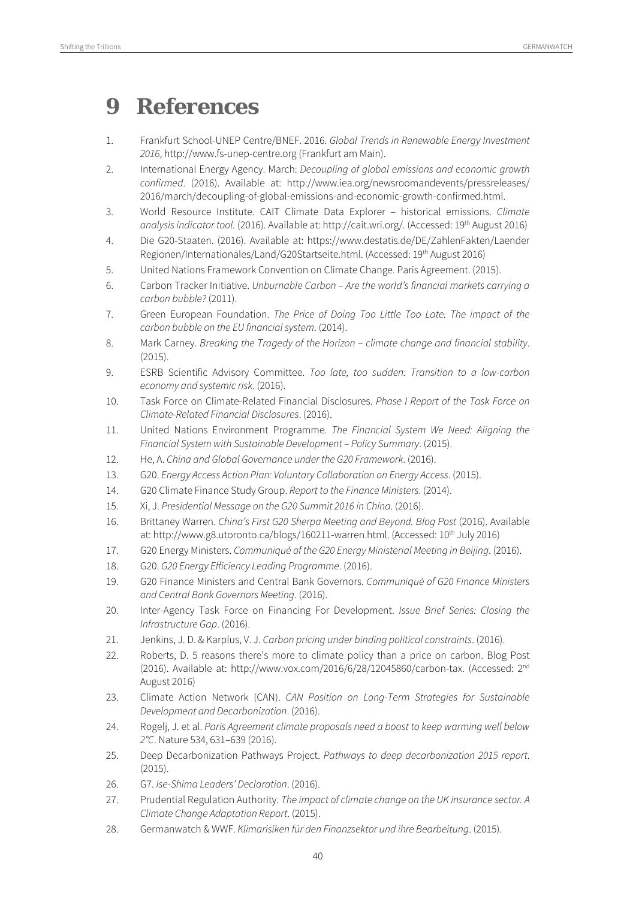### **9 References**

- 1. Frankfurt School-UNEP Centre/BNEF. 2016. Global Trends in Renewable Energy Investment 2016, http://www.fs-unep-centre.org (Frankfurt am Main).
- 2. International Energy Agency. March: Decoupling of global emissions and economic growth confirmed. (2016). Available at: http://www.iea.org/newsroomandevents/pressreleases/ 2016/march/decoupling-of-global-emissions-and-economic-growth-confirmed.html.
- 3. World Resource Institute. CAIT Climate Data Explorer historical emissions. Climate analysis indicator tool. (2016). Available at: http://cait.wri.org/. (Accessed: 19th August 2016)
- 4. Die G20-Staaten. (2016). Available at: https://www.destatis.de/DE/ZahlenFakten/Laender Regionen/Internationales/Land/G20Startseite.html. (Accessed: 19th August 2016)
- 5. United Nations Framework Convention on Climate Change. Paris Agreement. (2015).
- 6. Carbon Tracker Initiative. Unburnable Carbon Are the world's financial markets carrying a carbon bubble? (2011).
- 7. Green European Foundation. The Price of Doing Too Little Too Late. The impact of the carbon bubble on the EU financial system. (2014).
- 8. Mark Carney. Breaking the Tragedy of the Horizon climate change and financial stability. (2015).
- 9. ESRB Scientific Advisory Committee. Too late, too sudden: Transition to a low-carbon economy and systemic risk. (2016).
- 10. Task Force on Climate-Related Financial Disclosures. Phase I Report of the Task Force on Climate-Related Financial Disclosures. (2016).
- 11. United Nations Environment Programme. The Financial System We Need: Aligning the Financial System with Sustainable Development – Policy Summary. (2015).
- 12. He, A. China and Global Governance under the G20 Framework. (2016).
- 13. G20. Energy Access Action Plan: Voluntary Collaboration on Energy Access. (2015).
- 14. G20 Climate Finance Study Group. Report to the Finance Ministers. (2014).
- 15. Xi, J. Presidential Message on the G20 Summit 2016 in China. (2016).
- 16. Brittaney Warren. China's First G20 Sherpa Meeting and Beyond. Blog Post (2016). Available at: http://www.g8.utoronto.ca/blogs/160211-warren.html. (Accessed: 10<sup>th</sup> July 2016)
- 17. G20 Energy Ministers. Communiqué of the G20 Energy Ministerial Meeting in Beijing. (2016).
- 18. G20. G20 Energy Efficiency Leading Programme. (2016).
- 19. G20 Finance Ministers and Central Bank Governors. Communiqué of G20 Finance Ministers and Central Bank Governors Meeting. (2016).
- 20. Inter-Agency Task Force on Financing For Development. *Issue Brief Series: Closing the* Infrastructure Gap. (2016).
- 21. Jenkins, J. D. & Karplus, V. J. Carbon pricing under binding political constraints. (2016).
- 22. Roberts, D. 5 reasons there's more to climate policy than a price on carbon. Blog Post (2016). Available at: http://www.vox.com/2016/6/28/12045860/carbon-tax. (Accessed: 2nd August 2016)
- 23. Climate Action Network (CAN). CAN Position on Long-Term Strategies for Sustainable Development and Decarbonization. (2016).
- 24. Rogelj, J. et al. Paris Agreement climate proposals need a boost to keep warming well below 2°C. Nature 534, 631–639 (2016).
- 25. Deep Decarbonization Pathways Project. Pathways to deep decarbonization 2015 report. (2015).
- 26. G7. Ise-Shima Leaders' Declaration. (2016).
- 27. Prudential Regulation Authority. The impact of climate change on the UK insurance sector. A Climate Change Adaptation Report. (2015).
- 28. Germanwatch & WWF. Klimarisiken für den Finanzsektor und ihre Bearbeitung. (2015).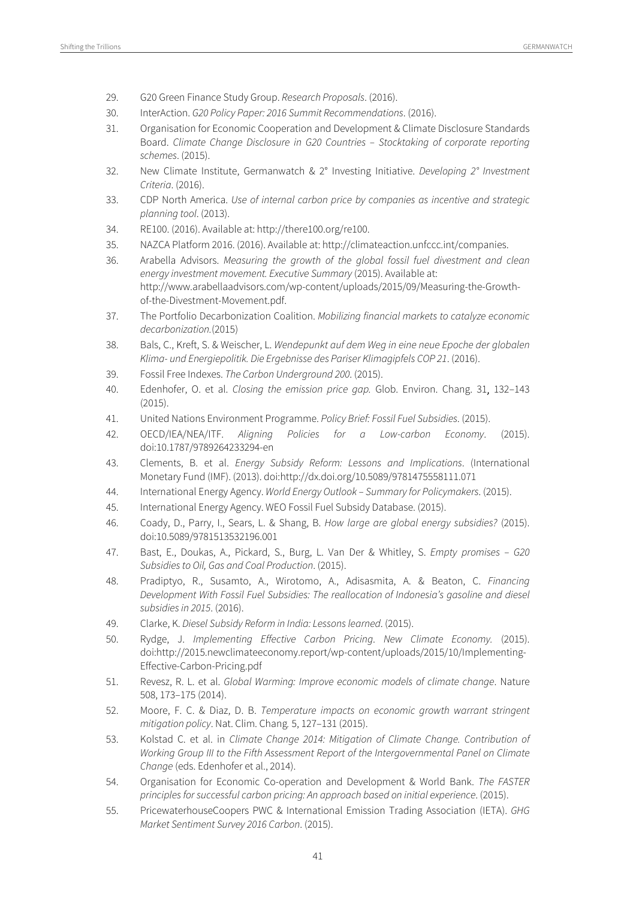- 29. G20 Green Finance Study Group. Research Proposals. (2016).
- 30. InterAction. G20 Policy Paper: 2016 Summit Recommendations. (2016).
- 31. Organisation for Economic Cooperation and Development & Climate Disclosure Standards Board. Climate Change Disclosure in G20 Countries – Stocktaking of corporate reporting schemes. (2015).
- 32. New Climate Institute, Germanwatch &  $2^{\circ}$  Investing Initiative. Developing  $2^{\circ}$  Investment Criteria. (2016).
- 33. CDP North America. Use of internal carbon price by companies as incentive and strategic planning tool. (2013).
- 34. RE100. (2016). Available at: http://there100.org/re100.
- 35. NAZCA Platform 2016. (2016). Available at: http://climateaction.unfccc.int/companies.
- 36. Arabella Advisors. Measuring the growth of the global fossil fuel divestment and clean energy investment movement. Executive Summary (2015). Available at: http://www.arabellaadvisors.com/wp-content/uploads/2015/09/Measuring-the-Growthof-the-Divestment-Movement.pdf.
- 37. The Portfolio Decarbonization Coalition. Mobilizing financial markets to catalyze economic decarbonization.(2015)
- 38. Bals, C., Kreft, S. & Weischer, L. Wendepunkt auf dem Weg in eine neue Epoche der globalen Klima- und Energiepolitik. Die Ergebnisse des Pariser Klimagipfels COP 21. (2016).
- 39. Fossil Free Indexes. The Carbon Underground 200. (2015).
- 40. Edenhofer, O. et al. Closing the emission price gap. Glob. Environ. Chang. 31, 132–143 (2015).
- 41. United Nations Environment Programme. Policy Brief: Fossil Fuel Subsidies. (2015).
- 42. OECD/IEA/NEA/ITF. Aligning Policies for a Low-carbon Economy. (2015). doi:10.1787/9789264233294-en
- 43. Clements, B. et al. Energy Subsidy Reform: Lessons and Implications. (International Monetary Fund (IMF). (2013). doi:http://dx.doi.org/10.5089/9781475558111.071
- 44. International Energy Agency. World Energy Outlook Summary for Policymakers. (2015).
- 45. International Energy Agency. WEO Fossil Fuel Subsidy Database. (2015).
- 46. Coady, D., Parry, I., Sears, L. & Shang, B. How large are global energy subsidies? (2015). doi:10.5089/9781513532196.001
- 47. Bast, E., Doukas, A., Pickard, S., Burg, L. Van Der & Whitley, S. Empty promises G20 Subsidies to Oil, Gas and Coal Production. (2015).
- 48. Pradiptyo, R., Susamto, A., Wirotomo, A., Adisasmita, A. & Beaton, C. Financing Development With Fossil Fuel Subsidies: The reallocation of Indonesia's gasoline and diesel subsidies in 2015. (2016).
- 49. Clarke, K. Diesel Subsidy Reform in India: Lessons learned. (2015).
- 50. Rydge, J. Implementing Effective Carbon Pricing. New Climate Economy. (2015). doi:http://2015.newclimateeconomy.report/wp-content/uploads/2015/10/Implementing-Effective-Carbon-Pricing.pdf
- 51. Revesz, R. L. et al. Global Warming: Improve economic models of climate change. Nature 508, 173–175 (2014).
- 52. Moore, F. C. & Diaz, D. B. Temperature impacts on economic growth warrant stringent mitigation policy. Nat. Clim. Chang. 5, 127–131 (2015).
- 53. Kolstad C. et al. in Climate Change 2014: Mitigation of Climate Change. Contribution of Working Group III to the Fifth Assessment Report of the Intergovernmental Panel on Climate Change (eds. Edenhofer et al., 2014).
- 54. Organisation for Economic Co-operation and Development & World Bank. The FASTER principles for successful carbon pricing: An approach based on initial experience. (2015).
- 55. PricewaterhouseCoopers PWC & International Emission Trading Association (IETA). GHG Market Sentiment Survey 2016 Carbon. (2015).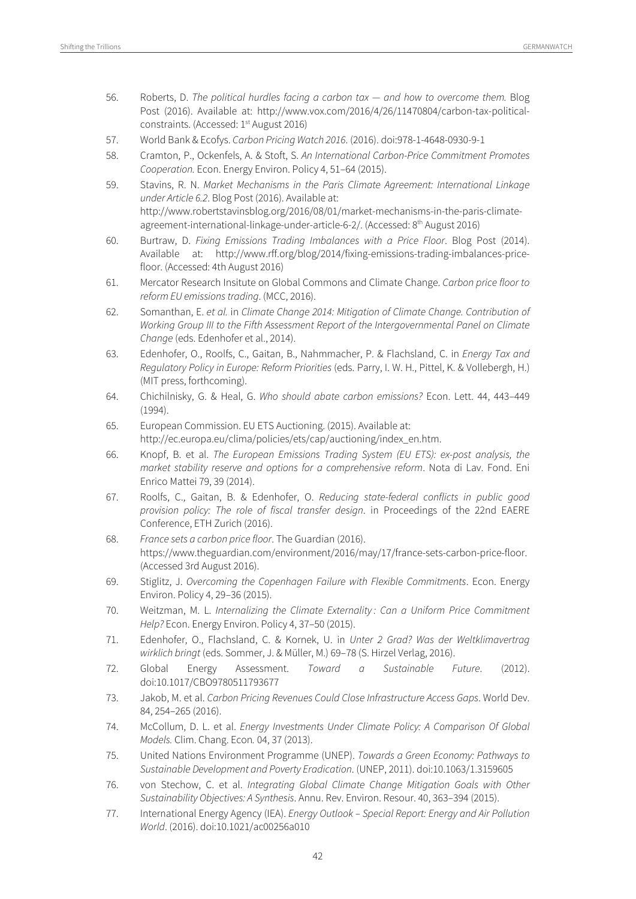- 56. Roberts, D. The political hurdles facing a carbon tax and how to overcome them. Blog Post (2016). Available at: http://www.vox.com/2016/4/26/11470804/carbon-tax-politicalconstraints. (Accessed: 1<sup>st</sup> August 2016)
- 57. World Bank & Ecofys. Carbon Pricing Watch 2016. (2016). doi:978-1-4648-0930-9-1
- 58. Cramton, P., Ockenfels, A. & Stoft, S. An International Carbon-Price Commitment Promotes Cooperation. Econ. Energy Environ. Policy 4, 51–64 (2015).
- 59. Stavins, R. N. Market Mechanisms in the Paris Climate Agreement: International Linkage under Article 6.2. Blog Post (2016). Available at: http://www.robertstavinsblog.org/2016/08/01/market-mechanisms-in-the-paris-climateagreement-international-linkage-under-article-6-2/. (Accessed: 8<sup>th</sup> August 2016)
- 60. Burtraw, D. Fixing Emissions Trading Imbalances with a Price Floor. Blog Post (2014). Available at: http://www.rff.org/blog/2014/fixing-emissions-trading-imbalances-pricefloor. (Accessed: 4th August 2016)
- 61. Mercator Research Insitute on Global Commons and Climate Change. Carbon price floor to reform EU emissions trading. (MCC, 2016).
- 62. Somanthan, E. et al. in Climate Change 2014: Mitigation of Climate Change. Contribution of Working Group III to the Fifth Assessment Report of the Intergovernmental Panel on Climate Change (eds. Edenhofer et al., 2014).
- 63. Edenhofer, O., Roolfs, C., Gaitan, B., Nahmmacher, P. & Flachsland, C. in Energy Tax and Regulatory Policy in Europe: Reform Priorities (eds. Parry, I. W. H., Pittel, K. & Vollebergh, H.) (MIT press, forthcoming).
- 64. Chichilnisky, G. & Heal, G. Who should abate carbon emissions? Econ. Lett. 44, 443–449 (1994).
- 65. European Commission. EU ETS Auctioning. (2015). Available at: http://ec.europa.eu/clima/policies/ets/cap/auctioning/index\_en.htm.
- 66. Knopf, B. et al. The European Emissions Trading System (EU ETS): ex-post analysis, the market stability reserve and options for a comprehensive reform. Nota di Lav. Fond. Eni Enrico Mattei 79, 39 (2014).
- 67. Roolfs, C., Gaitan, B. & Edenhofer, O. Reducing state-federal conflicts in public good provision policy: The role of fiscal transfer design. in Proceedings of the 22nd EAERE Conference, ETH Zurich (2016).
- 68. France sets a carbon price floor. The Guardian (2016). https://www.theguardian.com/environment/2016/may/17/france-sets-carbon-price-floor. (Accessed 3rd August 2016).
- 69. Stiglitz, J. Overcoming the Copenhagen Failure with Flexible Commitments. Econ. Energy Environ. Policy 4, 29–36 (2015).
- 70. Weitzman, M. L. Internalizing the Climate Externality : Can a Uniform Price Commitment Help? Econ. Energy Environ. Policy 4, 37–50 (2015).
- 71. Edenhofer, O., Flachsland, C. & Kornek, U. in Unter 2 Grad? Was der Weltklimavertrag wirklich bringt (eds. Sommer, J. & Müller, M.) 69–78 (S. Hirzel Verlag, 2016).
- 72. Global Energy Assessment. Toward a Sustainable Future. (2012). doi:10.1017/CBO9780511793677
- 73. Jakob, M. et al. Carbon Pricing Revenues Could Close Infrastructure Access Gaps. World Dev. 84, 254–265 (2016).
- 74. McCollum, D. L. et al. Energy Investments Under Climate Policy: A Comparison Of Global Models. Clim. Chang. Econ. 04, 37 (2013).
- 75. United Nations Environment Programme (UNEP). Towards a Green Economy: Pathways to Sustainable Development and Poverty Eradication. (UNEP, 2011). doi:10.1063/1.3159605
- 76. von Stechow, C. et al. Integrating Global Climate Change Mitigation Goals with Other Sustainability Objectives: A Synthesis. Annu. Rev. Environ. Resour. 40, 363–394 (2015).
- 77. International Energy Agency (IEA). Energy Outlook Special Report: Energy and Air Pollution World. (2016). doi:10.1021/ac00256a010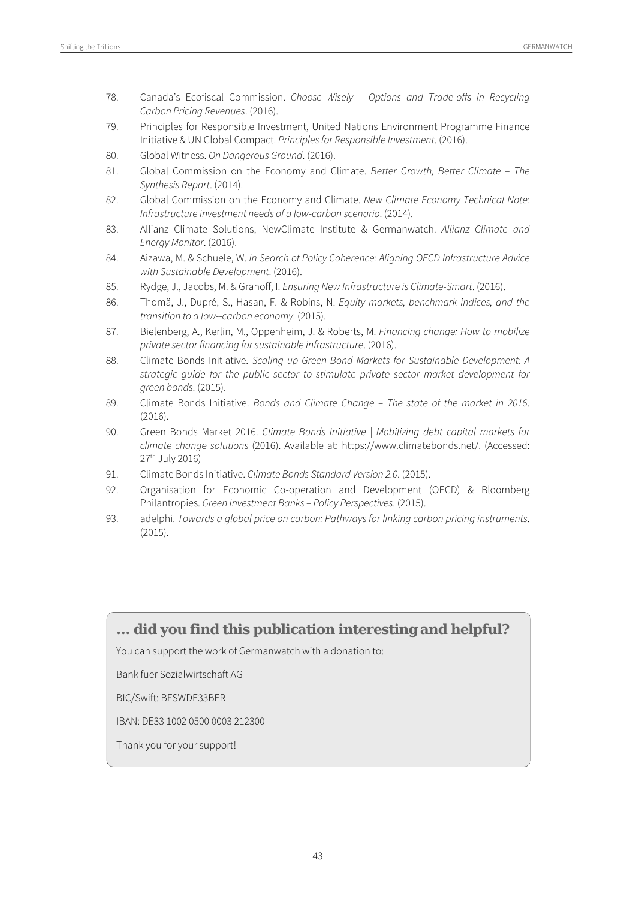- 78. Canada's Ecofiscal Commission. Choose Wisely Options and Trade-offs in Recycling Carbon Pricing Revenues. (2016).
- 79. Principles for Responsible Investment, United Nations Environment Programme Finance Initiative & UN Global Compact. Principles for Responsible Investment. (2016).
- 80. Global Witness. On Dangerous Ground. (2016).
- 81. Global Commission on the Economy and Climate. Better Growth, Better Climate The Synthesis Report. (2014).
- 82. Global Commission on the Economy and Climate. New Climate Economy Technical Note: Infrastructure investment needs of a low-carbon scenario. (2014).
- 83. Allianz Climate Solutions, NewClimate Institute & Germanwatch. Allianz Climate and Energy Monitor. (2016).
- 84. Aizawa, M. & Schuele, W. In Search of Policy Coherence: Aligning OECD Infrastructure Advice with Sustainable Development. (2016).
- 85. Rydge, J., Jacobs, M. & Granoff, I. Ensuring New Infrastructure is Climate-Smart. (2016).
- 86. Thomä, J., Dupré, S., Hasan, F. & Robins, N. Equity markets, benchmark indices, and the transition to a low-carbon economy. (2015).
- 87. Bielenberg, A., Kerlin, M., Oppenheim, J. & Roberts, M. Financing change: How to mobilize private sector financing for sustainable infrastructure. (2016).
- 88. Climate Bonds Initiative. Scaling up Green Bond Markets for Sustainable Development: A strategic guide for the public sector to stimulate private sector market development for green bonds. (2015).
- 89. Climate Bonds Initiative. Bonds and Climate Change The state of the market in 2016. (2016).
- 90. Green Bonds Market 2016. Climate Bonds Initiative | Mobilizing debt capital markets for climate change solutions (2016). Available at: https://www.climatebonds.net/. (Accessed: 27th July 2016)
- 91. Climate Bonds Initiative. Climate Bonds Standard Version 2.0. (2015).
- 92. Organisation for Economic Co-operation and Development (OECD) & Bloomberg Philantropies. Green Investment Banks – Policy Perspectives. (2015).
- 93. adelphi. Towards a global price on carbon: Pathways for linking carbon pricing instruments. (2015).

#### **... did you find this publication interesting and helpful?**

You can support the work of Germanwatch with a donation to:

Bank fuer Sozialwirtschaft AG

BIC/Swift: BFSWDE33BER

IBAN: DE33 1002 0500 0003 212300

Thank you for your support!